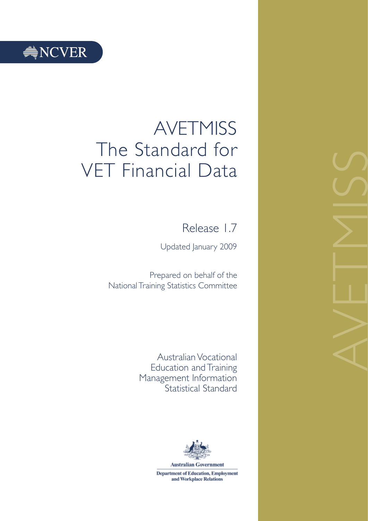# $\triangleq$  NCVER

# AVETMISS The Standard for VET Financial Data

Release 1.7

Updated January 2009

Prepared on behalf of the National Training Statistics Committee

> Australian Vocational Education and Training Management Information Statistical Standard



**Department of Education, Employment** and Workplace Relations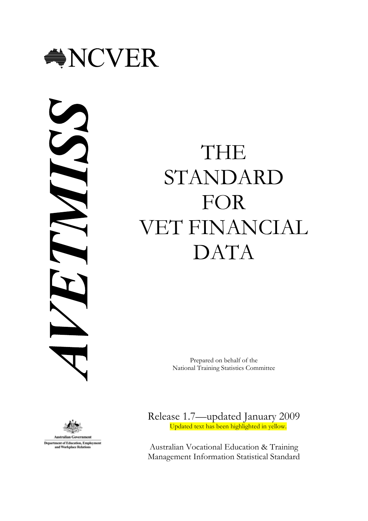<span id="page-2-0"></span>

N



**Department of Education**, Employment and Workplace Relati

# THE STANDARD FOR VET FINANCIAL DATA

Prepared on behalf of the National Training Statistics Committee

Release 1.7—updated January 2009 Updated text has been highlighted in yellow.

Australian Vocational Education & Training Management Information Statistical Standard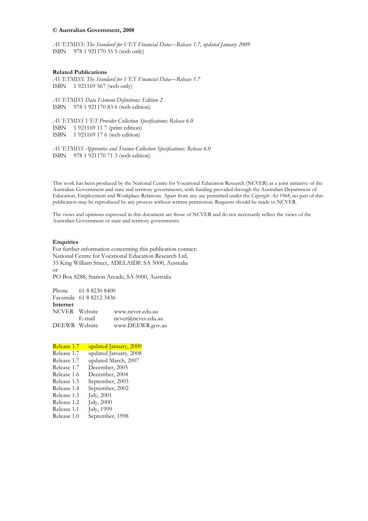#### **© Australian Government, 2008**

*AVETMISS: The Standard for VET Financial Data—Release 1.7, updated January 2009*  ISBN 978 1 921170 35 5 (web only)

#### **Related Publications**

*AVETMISS: The Standard for VET Financial Data—Release 1.7*  ISBN 1 921169 567 (web only)

*AVETMISS Data Element Definitions: Edition 2*  ISBN 978 1 921170 83 6 (web edition)

*AVETMISS VET Provider Collection Specifications: Release 6.0*  ISBN 1 921169 11 7 (print edition) ISBN 1 921169 17 6 (web edition)

*AVETMISS Apprentice and Trainee Collection Specifications: Release 6.0*  ISBN 978 1 921170 71 3 (web edition)

This work has been produced by the National Centre for Vocational Education Research (NCVER) as a joint initiative of the Australian Government and state and territory governments, with funding provided through the Australian Department of Education, Employment and Workplace Relations. Apart from any use permitted under the *Copyright Act 1968*, no part of this publication may be reproduced by any process without written permission. Requests should be made to NCVER.

The views and opinions expressed in this document are those of NCVER and do not necessarily reflect the views of the Australian Government or state and territory governments.

#### **Enquiries**

For further information concerning this publication contact: National Centre for Vocational Education Research Ltd, 33 King William Street, ADELAIDE SA 5000, Australia or

PO Box 8288, Station Arcade, SA 5000, Australia

Phone 61 8 8230 8400 Facsimile 61 8 8212 3436 **Internet** NCVER Website www.ncver.edu.au E-mail ncver@ncver.edu.au<br>DEEWR Website www.DEEWR.gov.a [www.DEEWR.gov.au](http://www.anta.gov.au/)

| Release 1.7 | updated January, 2009 |
|-------------|-----------------------|
| Release 1.7 | updated January, 2008 |
| Release 1.7 | updated March, 2007   |
| Release 1.7 | December, 2005        |
| Release 1.6 | December, 2004        |
| Release 1.5 | September, 2003       |
| Release 1.4 | September, 2002       |
| Release 1.3 | <b>July</b> , 2001    |
| Release 1.2 | <b>July</b> , 2000    |
| Release 1.1 | July, 1999            |
| Release 1.0 | September, 1998       |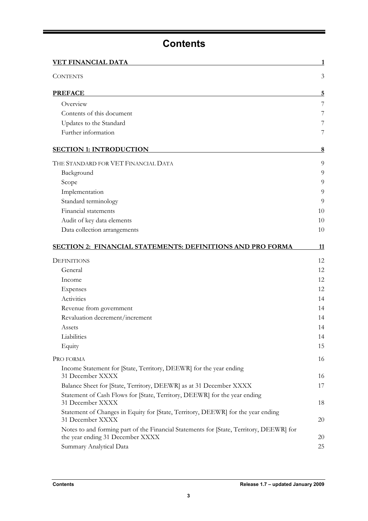# **Contents**

<span id="page-4-0"></span>

| <u>VET FINANCIAL DATA</u>                                                                                                   |          |
|-----------------------------------------------------------------------------------------------------------------------------|----------|
| <b>CONTENTS</b>                                                                                                             | 3        |
| <b>PREFACE</b>                                                                                                              | <u>5</u> |
| Overview                                                                                                                    | 7        |
| Contents of this document                                                                                                   | 7        |
| Updates to the Standard                                                                                                     | 7        |
| Further information                                                                                                         | 7        |
| <b>SECTION 1: INTRODUCTION</b>                                                                                              | 8        |
| THE STANDARD FOR VET FINANCIAL DATA                                                                                         | 9        |
| Background                                                                                                                  | 9        |
| Scope                                                                                                                       | 9        |
| Implementation                                                                                                              | 9        |
| Standard terminology                                                                                                        | 9        |
| Financial statements                                                                                                        | 10       |
| Audit of key data elements                                                                                                  | 10       |
| Data collection arrangements                                                                                                | 10       |
| <b>SECTION 2: FINANCIAL STATEMENTS: DEFINITIONS AND PRO FORMA</b>                                                           | 11       |
| <b>DEFINITIONS</b>                                                                                                          | 12       |
| General                                                                                                                     | 12       |
| Income                                                                                                                      | 12       |
| <b>Expenses</b>                                                                                                             | 12       |
| Activities                                                                                                                  | 14       |
| Revenue from government                                                                                                     | 14       |
| Revaluation decrement/increment                                                                                             | 14       |
| Assets                                                                                                                      | 14       |
| Liabilities                                                                                                                 | 14       |
| Equity                                                                                                                      | 15       |
| PRO FORMA                                                                                                                   | 16       |
| Income Statement for [State, Territory, DEEWR] for the year ending<br>31 December XXXX                                      | 16       |
| Balance Sheet for [State, Territory, DEEWR] as at 31 December XXXX                                                          | 17       |
| Statement of Cash Flows for [State, Territory, DEEWR] for the year ending<br>31 December XXXX                               | 18       |
| Statement of Changes in Equity for [State, Territory, DEEWR] for the year ending<br>31 December XXXX                        | 20       |
| Notes to and forming part of the Financial Statements for [State, Territory, DEEWR] for<br>the year ending 31 December XXXX | 20       |
| Summary Analytical Data                                                                                                     | 25       |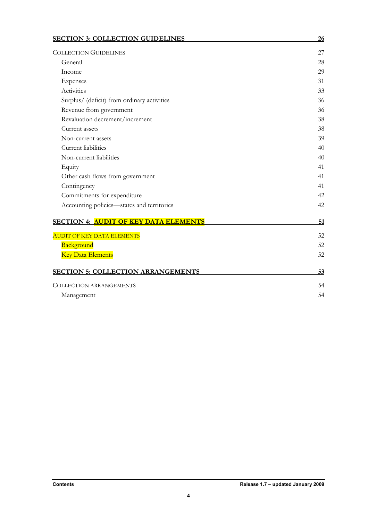| <b>SECTION 3: COLLECTION GUIDELINES</b>      | <u>26</u> |
|----------------------------------------------|-----------|
| <b>COLLECTION GUIDELINES</b>                 | 27        |
| General                                      | 28        |
| Income                                       | 29        |
| Expenses                                     | 31        |
| Activities                                   | 33        |
| Surplus/ (deficit) from ordinary activities  | 36        |
| Revenue from government                      | 36        |
| Revaluation decrement/increment              | 38        |
| Current assets                               | 38        |
| Non-current assets                           | 39        |
| Current liabilities                          | 40        |
| Non-current liabilities                      | 40        |
| Equity                                       | 41        |
| Other cash flows from government             | 41        |
| Contingency                                  | 41        |
| Commitments for expenditure                  | 42        |
| Accounting policies-states and territories   | 42        |
| <b>SECTION 4: AUDIT OF KEY DATA ELEMENTS</b> | 51        |
| <b>AUDIT OF KEY DATA ELEMENTS</b>            | 52        |
| Background                                   | 52        |
| <b>Key Data Elements</b>                     | 52        |
| <b>SECTION 5: COLLECTION ARRANGEMENTS</b>    | 53        |
| <b>COLLECTION ARRANGEMENTS</b>               | 54        |
| Management                                   | 54        |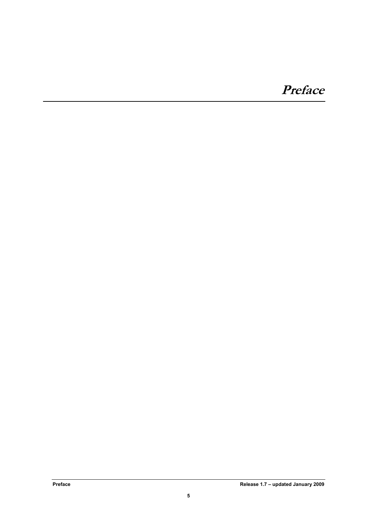# <span id="page-6-0"></span>**Preface**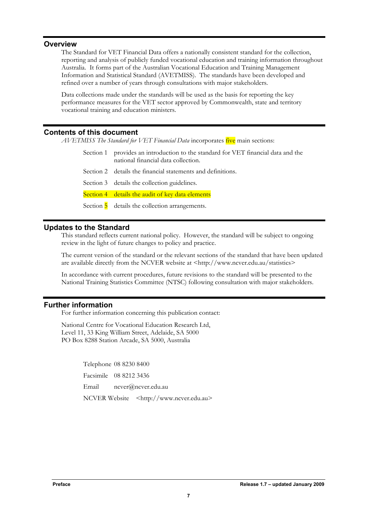# <span id="page-8-0"></span>**Overview**

The Standard for VET Financial Data offers a nationally consistent standard for the collection, reporting and analysis of publicly funded vocational education and training information throughout Australia. It forms part of the Australian Vocational Education and Training Management Information and Statistical Standard (AVETMISS). The standards have been developed and refined over a number of years through consultations with major stakeholders.

Data collections made under the standards will be used as the basis for reporting the key performance measures for the VET sector approved by Commonwealth, state and territory vocational training and education ministers.

# **Contents of this document**

*AVETMISS The Standard for VET Financial Data* incorporates five main sections:

| Section 1 provides an introduction to the standard for VET financial data and the |
|-----------------------------------------------------------------------------------|
| national financial data collection.                                               |

- Section 2 details the financial statements and definitions.
- Section 3 details the collection guidelines.
- Section 4 details the audit of key data elements
- Section  $\overline{5}$  details the collection arrangements.

# **Updates to the Standard**

This standard reflects current national policy. However, the standard will be subject to ongoing review in the light of future changes to policy and practice.

The current version of the standard or the relevant sections of the standard that have been updated are available directly from the NCVER website at <http://www.ncver.edu.au/statistics>

In accordance with current procedures, future revisions to the standard will be presented to the National Training Statistics Committee (NTSC) following consultation with major stakeholders.

# **Further information**

For further information concerning this publication contact:

National Centre for Vocational Education Research Ltd, Level 11, 33 King William Street, Adelaide, SA 5000 PO Box 8288 Station Arcade, SA 5000, Australia

> Telephone 08 8230 8400 Facsimile 08 8212 3436 Email ncver@ncver.edu.au NCVER Website [<http://www.ncver.edu.au>](http://www.ncver.edu.au/)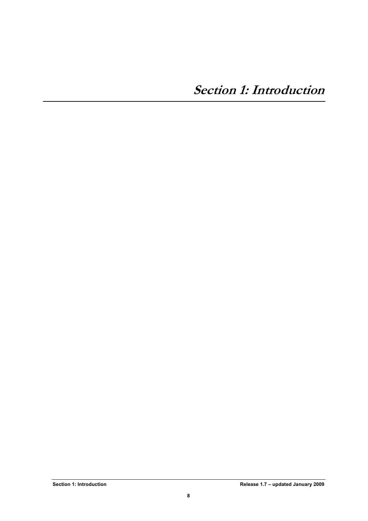<span id="page-9-0"></span>**Section 1: Introduction**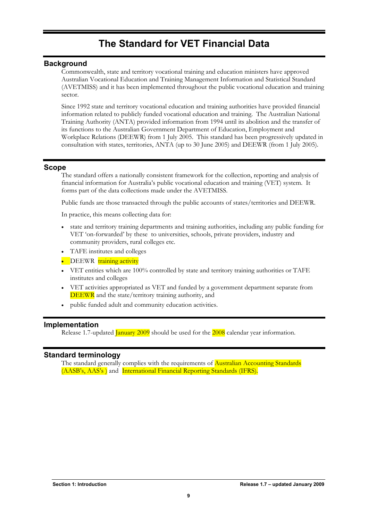# **The Standard for VET Financial Data**

# <span id="page-10-0"></span>**Background**

Commonwealth, state and territory vocational training and education ministers have approved Australian Vocational Education and Training Management Information and Statistical Standard (AVETMISS) and it has been implemented throughout the public vocational education and training sector.

Since 1992 state and territory vocational education and training authorities have provided financial information related to publicly funded vocational education and training. The Australian National Training Authority (ANTA) provided information from 1994 until its abolition and the transfer of its functions to the Australian Government Department of Education, Employment and Workplace Relations (DEEWR) from 1 July 2005. This standard has been progressively updated in consultation with states, territories, ANTA (up to 30 June 2005) and DEEWR (from 1 July 2005).

# **Scope**

The standard offers a nationally consistent framework for the collection, reporting and analysis of financial information for Australia's public vocational education and training (VET) system. It forms part of the data collections made under the AVETMISS.

Public funds are those transacted through the public accounts of states/territories and DEEWR.

In practice, this means collecting data for:

- state and territory training departments and training authorities, including any public funding for VET 'on-forwarded' by these to universities, schools, private providers, industry and community providers, rural colleges etc.
- TAFE institutes and colleges
- DEEWR training activity
- VET entities which are 100% controlled by state and territory training authorities or TAFE institutes and colleges
- VET activities appropriated as VET and funded by a government department separate from DEEWR and the state/territory training authority, and
- public funded adult and community education activities.

# **Implementation**

Release 1.7-updated *January* 2009 should be used for the 2008 calendar year information.

# **Standard terminology**

The standard generally complies with the requirements of **Australian Accounting Standards** (AASB's, AAS's ) and International Financial Reporting Standards (IFRS).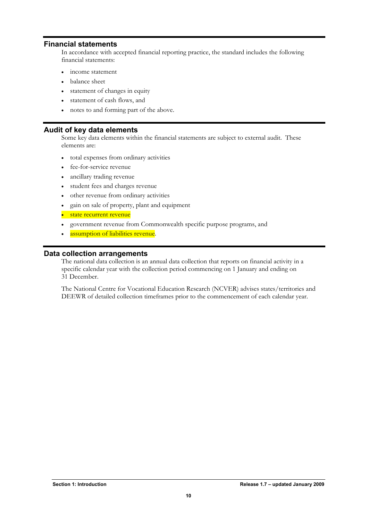# <span id="page-11-0"></span>**Financial statements**

In accordance with accepted financial reporting practice, the standard includes the following financial statements:

- income statement
- balance sheet
- statement of changes in equity
- statement of cash flows, and
- notes to and forming part of the above.

# **Audit of key data elements**

Some key data elements within the financial statements are subject to external audit. These elements are:

- total expenses from ordinary activities
- fee-for-service revenue
- ancillary trading revenue
- student fees and charges revenue
- other revenue from ordinary activities
- gain on sale of property, plant and equipment
- state recurrent revenue
- government revenue from Commonwealth specific purpose programs, and
- assumption of liabilities revenue.

# **Data collection arrangements**

The national data collection is an annual data collection that reports on financial activity in a specific calendar year with the collection period commencing on 1 January and ending on 31 December.

The National Centre for Vocational Education Research (NCVER) advises states/territories and DEEWR of detailed collection timeframes prior to the commencement of each calendar year.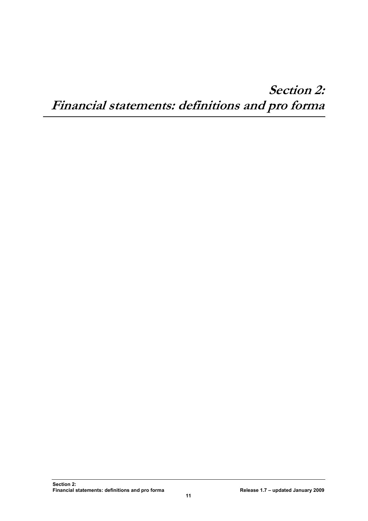# <span id="page-12-0"></span>**Section 2: Financial statements: definitions and pro forma**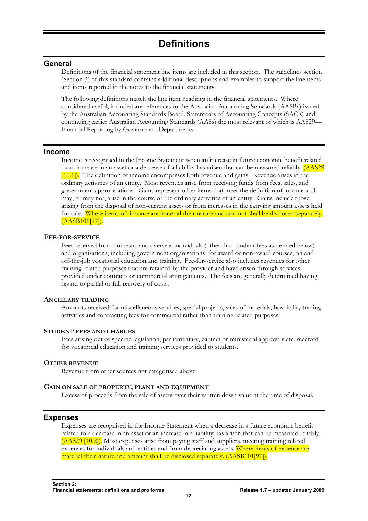# <span id="page-13-0"></span>**General**

Definitions of the financial statement line items are included in this section. The guidelines section (Section 3) of this standard contains additional descriptions and examples to support the line items and items reported in the notes to the financial statements

The following definitions match the line item headings in the financial statements. Where considered useful, included are references to the Australian Accounting Standards (AASBs) issued by the Australian Accounting Standards Board, Statements of Accounting Concepts (SAC's) and continuing earlier Australian Accounting Standards (AASs) the most relevant of which is AAS29— Financial Reporting by Government Departments.

# **Income**

Income is recognised in the Income Statement when an increase in future economic benefit related to an increase in an asset or a decrease of a liability has arisen that can be measured reliably. (AAS29 [10.1]). The definition of income encompasses both revenue and gains. Revenue arises in the ordinary activities of an entity. Most revenues arise from receiving funds from fees, sales, and government appropriations. Gains represent other items that meet the definition of income and may, or may not, arise in the course of the ordinary activities of an entity. Gains include those arising from the disposal of non-current assets or from increases in the carrying amount assets held for sale. Where items of income are material their nature and amount shall be disclosed separately. (AASB101[97]).

# **FEE-FOR-SERVICE**

Fees received from domestic and overseas individuals (other than student fees as defined below) and organisations, including government organisations, for award or non-award courses, on and off-the-job vocational education and training. Fee-for-service also includes revenues for other training related purposes that are retained by the provider and have arisen through services provided under contracts or commercial arrangements. The fees are generally determined having regard to partial or full recovery of costs.

# **ANCILLARY TRADING**

Amounts received for miscellaneous services, special projects, sales of materials, hospitality trading activities and contracting fees for commercial rather than training related purposes.

# **STUDENT FEES AND CHARGES**

Fees arising out of specific legislation, parliamentary, cabinet or ministerial approvals etc. received for vocational education and training services provided to students.

# **OTHER REVENUE**

Revenue from other sources not categorised above.

# **GAIN ON SALE OF PROPERTY, PLANT AND EQUIPMENT**

Excess of proceeds from the sale of assets over their written down value at the time of disposal.

# **Expenses**

Expenses are recognised in the Income Statement when a decrease in a future economic benefit related to a decrease in an asset or an increase in a liability has arisen that can be measured reliably. (AAS29 [10.2]). Most expenses arise from paying staff and suppliers, meeting training related expenses for individuals and entities and from depreciating assets. Where items of expense are material their nature and amount shall be disclosed separately. (AASB101[97]).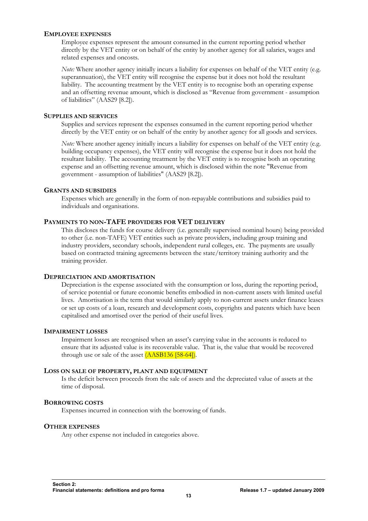# **EMPLOYEE EXPENSES**

Employee expenses represent the amount consumed in the current reporting period whether directly by the VET entity or on behalf of the entity by another agency for all salaries, wages and related expenses and oncosts.

*Note:* Where another agency initially incurs a liability for expenses on behalf of the VET entity (e.g. superannuation), the VET entity will recognise the expense but it does not hold the resultant liability. The accounting treatment by the VET entity is to recognise both an operating expense and an offsetting revenue amount, which is disclosed as "Revenue from government - assumption of liabilities" (AAS29 [8.2]).

# **SUPPLIES AND SERVICES**

Supplies and services represent the expenses consumed in the current reporting period whether directly by the VET entity or on behalf of the entity by another agency for all goods and services.

*Note:* Where another agency initially incurs a liability for expenses on behalf of the VET entity (e.g. building occupancy expenses), the VET entity will recognise the expense but it does not hold the resultant liability. The accounting treatment by the VET entity is to recognise both an operating expense and an offsetting revenue amount, which is disclosed within the note "Revenue from government - assumption of liabilities" (AAS29 [8.2]).

# **GRANTS AND SUBSIDIES**

Expenses which are generally in the form of non-repayable contributions and subsidies paid to individuals and organisations.

# **PAYMENTS TO NON-TAFE PROVIDERS FOR VET DELIVERY**

This discloses the funds for course delivery (i.e. generally supervised nominal hours) being provided to other (i.e. non-TAFE) VET entities such as private providers, including group training and industry providers, secondary schools, independent rural colleges, etc. The payments are usually based on contracted training agreements between the state/territory training authority and the training provider.

# **DEPRECIATION AND AMORTISATION**

Depreciation is the expense associated with the consumption or loss, during the reporting period, of service potential or future economic benefits embodied in non-current assets with limited useful lives. Amortisation is the term that would similarly apply to non-current assets under finance leases or set up costs of a loan, research and development costs, copyrights and patents which have been capitalised and amortised over the period of their useful lives.

# **IMPAIRMENT LOSSES**

Impairment losses are recognised when an asset's carrying value in the accounts is reduced to ensure that its adjusted value is its recoverable value. That is, the value that would be recovered through use or sale of the asset (AASB136 [58-64]).

# **LOSS ON SALE OF PROPERTY, PLANT AND EQUIPMENT**

Is the deficit between proceeds from the sale of assets and the depreciated value of assets at the time of disposal.

# **BORROWING COSTS**

Expenses incurred in connection with the borrowing of funds.

# **OTHER EXPENSES**

Any other expense not included in categories above.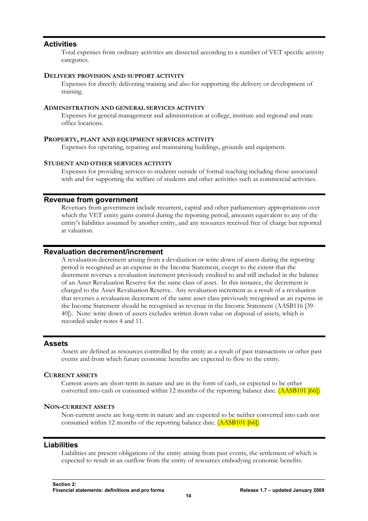# <span id="page-15-0"></span>**Activities**

Total expenses from ordinary activities are dissected according to a number of VET specific activity categories.

#### **DELIVERY PROVISION AND SUPPORT ACTIVITY**

Expenses for directly delivering training and also for supporting the delivery or development of training.

## **ADMINISTRATION AND GENERAL SERVICES ACTIVITY**

Expenses for general management and administration at college, institute and regional and state office locations.

# **PROPERTY, PLANT AND EQUIPMENT SERVICES ACTIVITY**

Expenses for operating, repairing and maintaining buildings, grounds and equipment.

## **STUDENT AND OTHER SERVICES ACTIVITY**

Expenses for providing services to students outside of formal teaching including those associated with and for supporting the welfare of students and other activities such as commercial activities.

# **Revenue from government**

Revenues from government include recurrent, capital and other parliamentary appropriations over which the VET entity gains control during the reporting period, amounts equivalent to any of the entity's liabilities assumed by another entity, and any resources received free of charge but reported at valuation.

# **Revaluation decrement/increment**

A revaluation decrement arising from a devaluation or write down of assets during the reporting period is recognised as an expense in the Income Statement, except to the extent that the decrement reverses a revaluation increment previously credited to and still included in the balance of an Asset Revaluation Reserve for the same class of asset. In this instance, the decrement is charged to the Asset Revaluation Reserve. Any revaluation increment as a result of a revaluation that reverses a revaluation decrement of the same asset class previously recognised as an expense in the Income Statement should be recognised as revenue in the Income Statement (AASB116 [39- 40]). Note: write down of assets excludes written down value on disposal of assets, which is recorded under notes 4 and 11.

# **Assets**

Assets are defined as resources controlled by the entity as a result of past transactions or other past events and from which future economic benefits are expected to flow to the entity.

# **CURRENT ASSETS**

Current assets are short-term in nature and are in the form of cash, or expected to be either converted into cash or consumed within 12 months of the reporting balance date. (AASB101 [66])

#### **NON-CURRENT ASSETS**

Non-current assets are long-term in nature and are expected to be neither converted into cash nor consumed within 12 months of the reporting balance date. (AASB101 [66])

# **Liabilities**

Liabilities are present obligations of the entity arising from past events, the settlement of which is expected to result in an outflow from the entity of resources embodying economic benefits.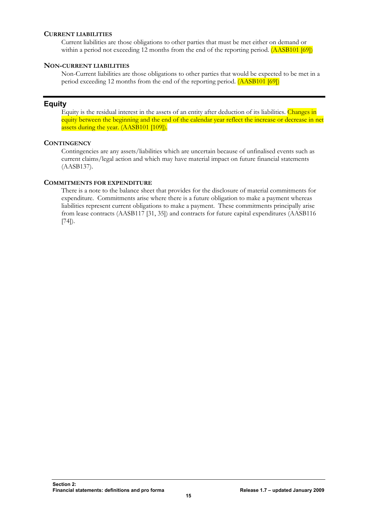# <span id="page-16-0"></span>**CURRENT LIABILITIES**

Current liabilities are those obligations to other parties that must be met either on demand or within a period not exceeding 12 months from the end of the reporting period. (AASB101 [69])

# **NON-CURRENT LIABILITIES**

Non-Current liabilities are those obligations to other parties that would be expected to be met in a period exceeding 12 months from the end of the reporting period. (AASB101 [69])

# **Equity**

Equity is the residual interest in the assets of an entity after deduction of its liabilities. Changes in equity between the beginning and the end of the calendar year reflect the increase or decrease in net assets during the year. (AASB101 [109]).

# **CONTINGENCY**

Contingencies are any assets/liabilities which are uncertain because of unfinalised events such as current claims/legal action and which may have material impact on future financial statements (AASB137).

# **COMMITMENTS FOR EXPENDITURE**

There is a note to the balance sheet that provides for the disclosure of material commitments for expenditure. Commitments arise where there is a future obligation to make a payment whereas liabilities represent current obligations to make a payment. These commitments principally arise from lease contracts (AASB117 [31, 35]) and contracts for future capital expenditures (AASB116 [74]).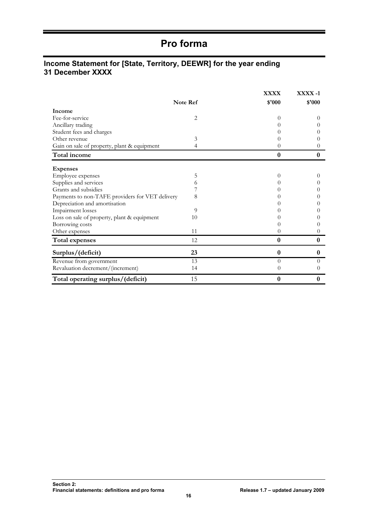# **Pro forma**

# <span id="page-17-0"></span>**Income Statement for [State, Territory, DEEWR] for the year ending 31 December XXXX**

|                                                 | Note Ref       | <b>XXXX</b><br>\$'000 | XXXX -1<br>\$'000 |
|-------------------------------------------------|----------------|-----------------------|-------------------|
| <b>Income</b>                                   |                |                       |                   |
| Fee-for-service                                 | $\overline{2}$ | 0                     | $\theta$          |
| Ancillary trading                               |                |                       | $\theta$          |
| Student fees and charges                        |                |                       |                   |
| Other revenue                                   | 3              |                       |                   |
| Gain on sale of property, plant & equipment     | 4              | 0                     | 0                 |
| Total income                                    |                | $\boldsymbol{0}$      | $\boldsymbol{0}$  |
| <b>Expenses</b>                                 |                |                       |                   |
| Employee expenses                               | 5              | $^{(1)}$              | $\theta$          |
| Supplies and services                           | 6              |                       | $\theta$          |
| Grants and subsidies                            |                |                       |                   |
| Payments to non-TAFE providers for VET delivery | 8              |                       | $\theta$          |
| Depreciation and amortisation                   |                |                       | $\theta$          |
| Impairment losses                               | 9              |                       |                   |
| Loss on sale of property, plant & equipment     | 10             |                       |                   |
| Borrowing costs                                 |                |                       | $\theta$          |
| Other expenses                                  | 11             | 0                     | $\theta$          |
| <b>Total expenses</b>                           | 12             | $\bf{0}$              | $\bf{0}$          |
| Surplus/(deficit)                               | 23             | $\bf{0}$              | $\bf{0}$          |
| Revenue from government                         | 13             | $\Omega$              | $\Omega$          |
| Revaluation decrement/(increment)               | 14             | 0                     | 0                 |
| Total operating surplus/(deficit)               | 15             | $\bf{0}$              | 0                 |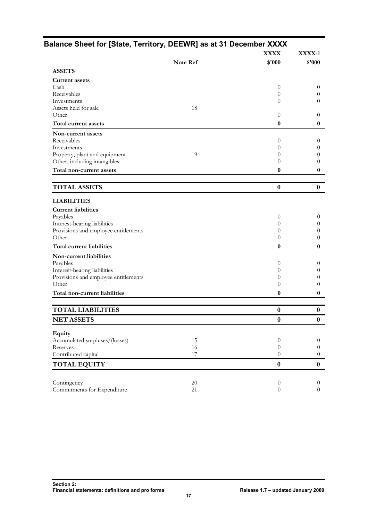|                                      |          | <b>XXXX</b>      | XXXX-1   |
|--------------------------------------|----------|------------------|----------|
|                                      | Note Ref | \$'000           | \$'000   |
| <b>ASSETS</b>                        |          |                  |          |
| <b>Current assets</b>                |          |                  |          |
| Cash                                 |          | $\theta$         | $\theta$ |
| Receivables                          |          | 0                |          |
| Investments                          |          | $\theta$         |          |
| Assets held for sale<br>Other        | 18       | $\theta$         |          |
| Total current assets                 |          | $\boldsymbol{0}$ |          |
|                                      |          |                  |          |
| Non-current assets<br>Receivables    |          |                  |          |
| Investments                          |          | 0<br>0           |          |
| Property, plant and equipment        | 19       | 0                |          |
| Other, including intangibles         |          | 0                |          |
| Total non-current assets             |          | 0                |          |
|                                      |          |                  |          |
| <b>TOTAL ASSETS</b>                  |          | $\boldsymbol{0}$ |          |
| <b>LIABILITIES</b>                   |          |                  |          |
| <b>Current liabilities</b>           |          |                  |          |
| Payables                             |          | $\theta$         |          |
| Interest-bearing liabilities         |          | 0                |          |
| Provisions and employee entitlements |          | 0                |          |
| Other                                |          | 0                |          |
| Total current liabilities            |          | $\boldsymbol{0}$ |          |
| Non-current liabilities              |          |                  |          |
| Payables                             |          | 0                |          |
| Interest-bearing liabilities         |          | 0                |          |
| Provisions and employee entitlements |          | $\theta$         |          |
| Other                                |          | 0                |          |
| Total non-current liabilities        |          | 0                |          |
| <b>TOTAL LIABILITIES</b>             |          | $\boldsymbol{0}$ |          |
| <b>NET ASSETS</b>                    |          | $\bf{0}$         |          |
| Equity                               |          |                  |          |
| Accumulated surpluses/(losses)       | 15       | $\boldsymbol{0}$ |          |
| Reserves                             | 16       | $\theta$         |          |
| Contributed capital                  | 17       | $\theta$         |          |
| <b>TOTAL EQUITY</b>                  |          | $\bf{0}$         |          |
|                                      |          |                  |          |
| Contingency                          | $20\,$   | $\theta$         |          |
| Commitments for Expenditure          | 21       | $\overline{0}$   |          |

# <span id="page-18-0"></span>**Balance Sheet for [State, Territory, DEEWR] as at 31 December XXXX**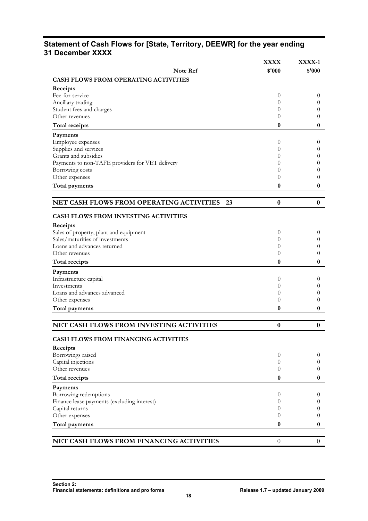# <span id="page-19-0"></span>**Statement of Cash Flows for [State, Territory, DEEWR] for the year ending 31 December XXXX**

|                                                 | <b>XXXX</b>      | XXXX-1               |
|-------------------------------------------------|------------------|----------------------|
| <b>Note Ref</b>                                 | \$'000           | \$'000               |
| <b>CASH FLOWS FROM OPERATING ACTIVITIES</b>     |                  |                      |
| Receipts                                        |                  |                      |
| Fee-for-service                                 | $\theta$         | $\theta$             |
| Ancillary trading                               | $\theta$         | $\theta$             |
| Student fees and charges                        | 0                | $\theta$             |
| Other revenues                                  | $\theta$         | 0                    |
| <b>Total receipts</b>                           | $\boldsymbol{0}$ | 0                    |
| Payments                                        |                  |                      |
| Employee expenses                               | $\theta$         | $\theta$             |
| Supplies and services                           | 0                | 0                    |
| Grants and subsidies                            | 0                | $\theta$             |
| Payments to non-TAFE providers for VET delivery | 0                | 0                    |
| Borrowing costs<br>Other expenses               | 0<br>0           | 0<br>0               |
|                                                 |                  |                      |
| Total payments                                  | $\bf{0}$         | 0                    |
| NET CASH FLOWS FROM OPERATING ACTIVITIES 23     | $\bf{0}$         | $\boldsymbol{0}$     |
|                                                 |                  |                      |
| <b>CASH FLOWS FROM INVESTING ACTIVITIES</b>     |                  |                      |
| Receipts                                        |                  |                      |
| Sales of property, plant and equipment          | $\theta$         | $\overline{0}$       |
| Sales/maturities of investments                 | 0                | $\theta$             |
| Loans and advances returned<br>Other revenues   | 0<br>0           | $\theta$<br>0        |
|                                                 | 0                | 0                    |
| <b>Total receipts</b>                           |                  |                      |
| Payments                                        |                  |                      |
| Infrastructure capital<br>Investments           | $\theta$<br>0    | $\theta$<br>$\theta$ |
| Loans and advances advanced                     | 0                | $\theta$             |
| Other expenses                                  | 0                | $\theta$             |
| Total payments                                  | 0                | 0                    |
|                                                 |                  |                      |
| NET CASH FLOWS FROM INVESTING ACTIVITIES        | $\boldsymbol{0}$ | $\boldsymbol{0}$     |
| CASH FLOWS FROM FINANCING ACTIVITIES            |                  |                      |
|                                                 |                  |                      |
| Receipts<br>Borrowings raised                   | $\theta$         | 0                    |
| Capital injections                              | $\overline{0}$   | 0                    |
| Other revenues                                  | $\overline{0}$   | $\overline{0}$       |
| <b>Total receipts</b>                           | 0                | 0                    |
| Payments                                        |                  |                      |
| Borrowing redemptions                           | $\overline{0}$   | $\theta$             |
| Finance lease payments (excluding interest)     | $\theta$         | $\theta$             |
| Capital returns                                 | 0                | $\theta$             |
| Other expenses                                  | 0                | $\left($             |
| Total payments                                  | $\bf{0}$         | 0                    |
|                                                 |                  |                      |
| NET CASH FLOWS FROM FINANCING ACTIVITIES        | $\theta$         | $\overline{0}$       |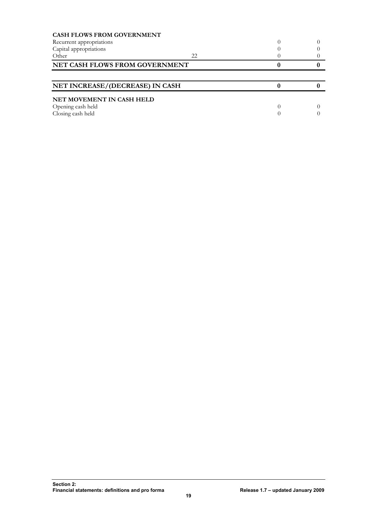| <b>CASH FLOWS FROM GOVERNMENT</b> |    |  |
|-----------------------------------|----|--|
| Recurrent appropriations          |    |  |
| Capital appropriations            |    |  |
| Other                             | 22 |  |
| NET CASH FLOWS FROM GOVERNMENT    |    |  |
|                                   |    |  |
|                                   |    |  |
| NET INCREASE/(DECREASE) IN CASH   |    |  |
| NET MOVEMENT IN CASH HELD         |    |  |
| Opening cash held                 |    |  |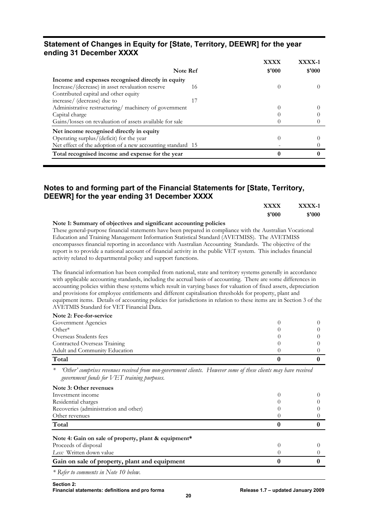# <span id="page-21-0"></span>**Statement of Changes in Equity for [State, Territory, DEEWR] for the year ending 31 December XXXX**

|                                                            | <b>XXXX</b>      | XXXX-1 |
|------------------------------------------------------------|------------------|--------|
| Note Ref                                                   | \$'000           | \$'000 |
| Income and expenses recognised directly in equity          |                  |        |
| Increase/(decrease) in asset revaluation reserve<br>16     |                  |        |
| Contributed capital and other equity                       |                  |        |
| increase/ (decrease) due to                                |                  |        |
| Administrative restructuring/ machinery of government      | $\left( \right)$ |        |
| Capital charge                                             |                  |        |
| Gains/losses on revaluation of assets available for sale   |                  |        |
| Net income recognised directly in equity                   |                  |        |
| Operating surplus/(deficit) for the year                   | O                |        |
| Net effect of the adoption of a new accounting standard 15 |                  |        |
| Total recognised income and expense for the year           |                  |        |

# **Notes to and forming part of the Financial Statements for [State, Territory, DEEWR] for the year ending 31 December XXXX**

| XXXX-1 | <b>XXXX</b> |
|--------|-------------|
| \$'000 | \$'000      |

**Note 1: Summary of objectives and significant accounting policies**  These general-purpose financial statements have been prepared in compliance with the Australian Vocational Education and Training Management Information Statistical Standard (AVETMISS). The AVETMISS encompasses financial reporting in accordance with Australian Accounting Standards. The objective of the report is to provide a national account of financial activity in the public VET system. This includes financial activity related to departmental policy and support functions.

The financial information has been compiled from national, state and territory systems generally in accordance with applicable accounting standards, including the accrual basis of accounting. There are some differences in accounting policies within these systems which result in varying bases for valuation of fixed assets, depreciation and provisions for employee entitlements and different capitalisation thresholds for property, plant and equipment items. Details of accounting policies for jurisdictions in relation to these items are in Section 3 of the AVETMIS Standard for VET Financial Data.

| Note 2: Fee-for-service       |                  |  |
|-------------------------------|------------------|--|
| Government Agencies           |                  |  |
| $Other*$                      |                  |  |
| Overseas Students fees        |                  |  |
| Contracted Overseas Training  |                  |  |
| Adult and Community Education | $\left( \right)$ |  |
| Total                         |                  |  |

*\* 'Other' comprises revenues received from non-government clients. However some of these clients may have received government funds for VET training purposes.*

| Note 3: Other revenues                               |  |
|------------------------------------------------------|--|
| Investment income                                    |  |
| Residential charges                                  |  |
| Recoveries (administration and other)                |  |
| Other revenues                                       |  |
| Total                                                |  |
| Note 4: Gain on sale of property, plant & equipment* |  |
| Proceeds of disposal                                 |  |
| Less: Written down value                             |  |
| Gain on sale of property, plant and equipment        |  |
|                                                      |  |

*\* Refer to comments in Note 10 below.*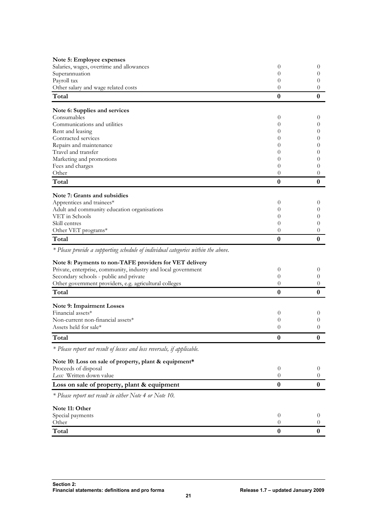| Note 5: Employee expenses                                                         |                  |                      |
|-----------------------------------------------------------------------------------|------------------|----------------------|
| Salaries, wages, overtime and allowances                                          | 0                | $\theta$             |
| Superannuation                                                                    | 0                | $\theta$             |
| Payroll tax                                                                       | 0                | $\theta$             |
| Other salary and wage related costs                                               | 0                | $\left($             |
| Total                                                                             | 0                | $\bf{0}$             |
| Note 6: Supplies and services                                                     |                  |                      |
| Consumables                                                                       | 0                | $\theta$             |
| Communications and utilities                                                      | 0                | $\theta$             |
| Rent and leasing                                                                  | $\theta$         | $\theta$             |
| Contracted services                                                               | $\theta$         | $\theta$             |
| Repairs and maintenance                                                           | $\theta$         | $\theta$             |
| Travel and transfer                                                               | 0                | 0                    |
| Marketing and promotions                                                          | 0                | 0                    |
| Fees and charges<br>Other                                                         | 0<br>0           | $\theta$<br>$\theta$ |
|                                                                                   |                  |                      |
| Total                                                                             | $\bf{0}$         | $\bf{0}$             |
| Note 7: Grants and subsidies                                                      |                  |                      |
| Apprentices and trainees*                                                         | 0                | $\theta$             |
| Adult and community education organisations                                       | $\theta$         | $\theta$             |
| VET in Schools                                                                    | $\theta$         | $\theta$             |
| Skill centres                                                                     | $\theta$         | $\theta$             |
| Other VET programs*                                                               | $\theta$         | 0                    |
| Total                                                                             | $\bf{0}$         | $\bf{0}$             |
| * Please provide a supporting schedule of individual categories within the above. |                  |                      |
| Note 8: Payments to non-TAFE providers for VET delivery                           |                  |                      |
| Private, enterprise, community, industry and local government                     | $\boldsymbol{0}$ | $\theta$             |
| Secondary schools - public and private                                            | $\theta$         | 0                    |
| Other government providers, e.g. agricultural colleges                            | $\theta$         | 0                    |
| Total                                                                             | $\boldsymbol{0}$ | $\boldsymbol{0}$     |
| Note 9: Impairment Losses                                                         |                  |                      |
| Financial assets*                                                                 | $\boldsymbol{0}$ | $\theta$             |
| Non-current non-financial assets*                                                 | $\boldsymbol{0}$ | $\theta$             |
| Assets held for sale*                                                             | $\overline{0}$   | 0                    |
| Total                                                                             | $\boldsymbol{0}$ | $\boldsymbol{0}$     |
| * Please report net result of losses and loss reversals, if applicable.           |                  |                      |
| Note 10: Loss on sale of property, plant & equipment*                             |                  |                      |
| Proceeds of disposal                                                              | $\theta$         | $\theta$             |
| Less: Written down value                                                          | $\theta$         | 0                    |
| Loss on sale of property, plant & equipment                                       | $\bf{0}$         | $\bf{0}$             |
| * Please report net result in either Note 4 or Note 10.                           |                  |                      |
| Note 11: Other                                                                    |                  |                      |
| Special payments                                                                  | $\theta$         | $\theta$             |
| Other                                                                             | $\theta$         | $\left($             |
| Total                                                                             | $\bf{0}$         | $\bf{0}$             |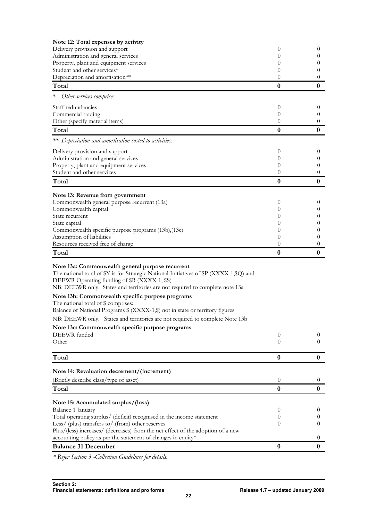| Note 12: Total expenses by activity                                                                                                                                                         |                  |                  |
|---------------------------------------------------------------------------------------------------------------------------------------------------------------------------------------------|------------------|------------------|
| Delivery provision and support                                                                                                                                                              | 0                | 0                |
| Administration and general services                                                                                                                                                         | $^{(1)}$<br>0    | 0<br>0           |
| Property, plant and equipment services<br>Student and other services*                                                                                                                       | 0                | $\theta$         |
| Depreciation and amortisation**                                                                                                                                                             | $\theta$         | 0                |
| Total                                                                                                                                                                                       | $\bf{0}$         | $\bf{0}$         |
| Other services comprise:                                                                                                                                                                    |                  |                  |
| Staff redundancies                                                                                                                                                                          | $\boldsymbol{0}$ | $\theta$         |
| Commercial trading                                                                                                                                                                          | $\theta$         | 0                |
| Other (specify material items)                                                                                                                                                              | 0                | 0                |
| Total                                                                                                                                                                                       | $\bf{0}$         | $\bf{0}$         |
| ** Depreciation and amortisation costed to activities:                                                                                                                                      |                  |                  |
| Delivery provision and support                                                                                                                                                              | 0                | $\theta$         |
| Administration and general services                                                                                                                                                         | 0                | 0                |
| Property, plant and equipment services<br>Student and other services                                                                                                                        | 0<br>0           | 0<br>0           |
| Total                                                                                                                                                                                       | $\bf{0}$         | $\bf{0}$         |
| Note 13: Revenue from government                                                                                                                                                            |                  |                  |
| Commonwealth general purpose recurrent (13a)                                                                                                                                                | $\theta$         | $\theta$         |
| Commonwealth capital                                                                                                                                                                        | 0                | 0                |
| State recurrent                                                                                                                                                                             | 0                | 0                |
| State capital                                                                                                                                                                               | 0                | 0                |
| Commonwealth specific purpose programs (13b), (13c)<br>Assumption of liabilities                                                                                                            | 0<br>0           | 0<br>0           |
| Resources received free of charge                                                                                                                                                           | $\boldsymbol{0}$ | 0                |
| Total                                                                                                                                                                                       | 0                | $\boldsymbol{0}$ |
| Note 13a: Commonwealth general purpose recurrent<br>The national total of \$Y is for Strategic National Initiatives of \$P (XXXX-1,\$Q) and<br>DEEWR Operating funding of \$R (XXXX-1, \$S) |                  |                  |
| NB: DEEWR only. States and territories are not required to complete note 13a                                                                                                                |                  |                  |
| Note 13b: Commonwealth specific purpose programs<br>The national total of \$ comprises:<br>Balance of National Programs \$ (XXXX-1,\$) not in state or territory figures                    |                  |                  |
| NB: DEEWR only. States and territories are not required to complete Note 13b                                                                                                                |                  |                  |
| Note 13c: Commonwealth specific purpose programs                                                                                                                                            |                  |                  |
| DEEWR funded                                                                                                                                                                                | 0                | $\theta$         |
| Other                                                                                                                                                                                       | 0                | $^{(1)}$         |
| Total                                                                                                                                                                                       | $\bf{0}$         | $\bf{0}$         |
| Note 14: Revaluation decrement/(increment)                                                                                                                                                  |                  |                  |
| (Briefly describe class/type of asset)                                                                                                                                                      | $\boldsymbol{0}$ | $\overline{0}$   |
| Total                                                                                                                                                                                       | $\bf{0}$         | $\bf{0}$         |
| Note 15: Accumulated surplus/(loss)                                                                                                                                                         |                  |                  |
| Balance 1 January                                                                                                                                                                           | 0                | $\theta$         |
| Total operating surplus/ (deficit) recognised in the income statement                                                                                                                       | 0                | 0                |
| Less/ (plus) transfers to/ (from) other reserves                                                                                                                                            | 0                | $\theta$         |
| Plus/(less) increases/ (decreases) from the net effect of the adoption of a new                                                                                                             |                  |                  |
| accounting policy as per the statement of changes in equity*                                                                                                                                |                  | $\theta$         |
| <b>Balance 31 December</b>                                                                                                                                                                  | $\boldsymbol{0}$ | $\bf{0}$         |

*\* Refer Section 3 -Collection Guidelines for details.*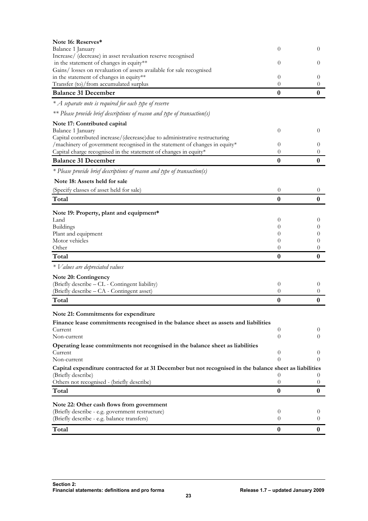| Note 16: Reserves*                                                                                                                             |                              |                      |
|------------------------------------------------------------------------------------------------------------------------------------------------|------------------------------|----------------------|
| Balance 1 January                                                                                                                              | 0                            | $\theta$             |
| Increase/ (decrease) in asset revaluation reserve recognised                                                                                   |                              |                      |
| in the statement of changes in equity**<br>Gains/losses on revaluation of assets available for sale recognised                                 | 0                            | $\theta$             |
| in the statement of changes in equity**                                                                                                        | $\theta$                     | $\left($             |
| Transfer (to)/from accumulated surplus                                                                                                         | $\theta$                     | $\theta$             |
| <b>Balance 31 December</b>                                                                                                                     | $\boldsymbol{0}$             | $\bf{0}$             |
| $*$ A separate note is required for each type of reserve                                                                                       |                              |                      |
| ** Please provide brief descriptions of reason and type of transaction(s)                                                                      |                              |                      |
| Note 17: Contributed capital                                                                                                                   |                              |                      |
| Balance 1 January                                                                                                                              | $\theta$                     | $\theta$             |
| Capital contributed increase/(decrease)due to administrative restructuring                                                                     |                              |                      |
| /machinery of government recognised in the statement of changes in equity*<br>Capital charge recognised in the statement of changes in equity* | 0<br>$\theta$                | $\theta$<br>0        |
| <b>Balance 31 December</b>                                                                                                                     | $\bf{0}$                     | 0                    |
| * Please provide brief descriptions of reason and type of transaction(s)                                                                       |                              |                      |
| Note 18: Assets held for sale                                                                                                                  |                              |                      |
| (Specify classes of asset held for sale)                                                                                                       | $\overline{0}$               | $\theta$             |
| Total                                                                                                                                          | $\bf{0}$                     | $\boldsymbol{0}$     |
|                                                                                                                                                |                              |                      |
| Note 19: Property, plant and equipment*<br>Land                                                                                                | 0                            | $\theta$             |
| <b>Buildings</b>                                                                                                                               | $\theta$                     | $\theta$             |
| Plant and equipment                                                                                                                            | $\theta$                     | $\theta$             |
| Motor vehicles                                                                                                                                 | 0                            | $\theta$             |
| Other<br>Total                                                                                                                                 | $\theta$<br>$\boldsymbol{0}$ | $\left($<br>0        |
| * Values are depreciated values                                                                                                                |                              |                      |
|                                                                                                                                                |                              |                      |
| <b>Note 20: Contingency</b><br>(Briefly describe - CL - Contingent liability)                                                                  | $\theta$                     | $\theta$             |
| (Briefly describe - CA - Contingent asset)                                                                                                     | $\theta$                     | $\theta$             |
| Total                                                                                                                                          | $\bf{0}$                     | 0                    |
| Note 21: Commitments for expenditure                                                                                                           |                              |                      |
| Finance lease commitments recognised in the balance sheet as assets and liabilities                                                            |                              |                      |
| Current                                                                                                                                        | 0                            | $\theta$             |
| Non-current                                                                                                                                    | $\theta$                     | $\theta$             |
| Operating lease commitments not recognised in the balance sheet as liabilities                                                                 |                              |                      |
| Current                                                                                                                                        | 0<br>$\theta$                | $\theta$<br>$\Omega$ |
| Non-current                                                                                                                                    |                              |                      |
| Capital expenditure contracted for at 31 December but not recognised in the balance sheet as liabilities<br>(Briefly describe)                 | 0                            | $\theta$             |
| Others not recognised - (briefly describe)                                                                                                     | 0                            | $\theta$             |
| Total                                                                                                                                          | $\bf{0}$                     | 0                    |
| Note 22: Other cash flows from government                                                                                                      |                              |                      |
| (Briefly describe - e.g. government restructure)                                                                                               | $\boldsymbol{0}$             | $\theta$             |
| (Briefly describe - e.g. balance transfers)                                                                                                    | 0                            | $\overline{0}$       |
| Total                                                                                                                                          | $\bf{0}$                     | 0                    |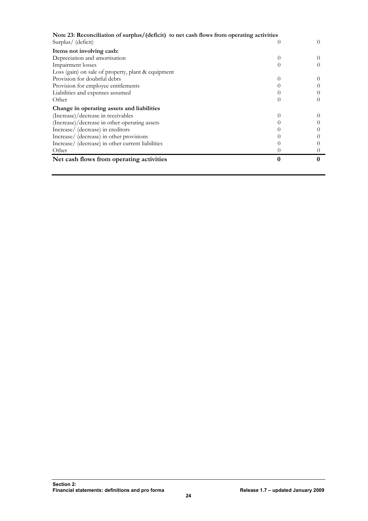| Note 23: Reconciliation of surplus/(deficit) to net cash flows from operating activities |          |  |
|------------------------------------------------------------------------------------------|----------|--|
| Surplus/ (deficit)                                                                       |          |  |
| Items not involving cash:                                                                |          |  |
| Depreciation and amortisation                                                            | $\theta$ |  |
| Impairment losses                                                                        | $\theta$ |  |
| Loss (gain) on sale of property, plant & equipment                                       |          |  |
| Provision for doubtful debts                                                             |          |  |
| Provision for employee entitlements                                                      |          |  |
| Liabilities and expenses assumed                                                         |          |  |
| Other                                                                                    |          |  |
| Change in operating assets and liabilities                                               |          |  |
| (Increase)/decrease in receivables                                                       |          |  |
| (Increase)/decrease in other operating assets                                            |          |  |
| Increase/ (decrease) in creditors                                                        |          |  |
| Increase/ (decrease) in other provisions                                                 |          |  |
| Increase/ (decrease) in other current liabilities                                        |          |  |
| Other                                                                                    |          |  |
| Net cash flows from operating activities                                                 |          |  |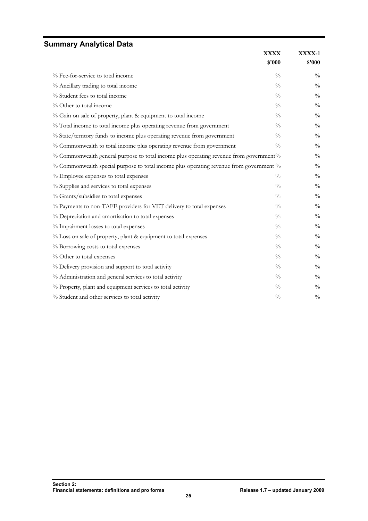# <span id="page-26-0"></span>**Summary Analytical Data**

|                                                                                         | <b>XXXX</b>   | XXXX-1        |
|-----------------------------------------------------------------------------------------|---------------|---------------|
|                                                                                         | \$'000        | \$'000        |
| % Fee-for-service to total income                                                       | $\frac{0}{0}$ | $\frac{0}{0}$ |
| % Ancillary trading to total income                                                     | $\frac{0}{0}$ | $\frac{0}{0}$ |
| % Student fees to total income                                                          | $\frac{0}{0}$ | $\frac{0}{0}$ |
| % Other to total income                                                                 | $\frac{0}{0}$ | $\frac{0}{0}$ |
| % Gain on sale of property, plant & equipment to total income                           | $\frac{0}{0}$ | $\frac{0}{0}$ |
| % Total income to total income plus operating revenue from government                   | $\frac{0}{0}$ | $\frac{0}{0}$ |
| % State/territory funds to income plus operating revenue from government                | $\frac{0}{0}$ | $\frac{0}{0}$ |
| % Commonwealth to total income plus operating revenue from government                   | $\frac{0}{0}$ | $\frac{0}{0}$ |
| % Commonwealth general purpose to total income plus operating revenue from government%  |               | $\frac{0}{0}$ |
| % Commonwealth special purpose to total income plus operating revenue from government % |               | $\frac{0}{0}$ |
| % Employee expenses to total expenses                                                   | $\frac{0}{0}$ | $\frac{0}{0}$ |
| % Supplies and services to total expenses                                               | $\frac{0}{0}$ | $\frac{0}{0}$ |
| % Grants/subsidies to total expenses                                                    | $\frac{0}{0}$ | $\frac{0}{0}$ |
| % Payments to non-TAFE providers for VET delivery to total expenses                     | $\frac{0}{0}$ | $\frac{0}{0}$ |
| % Depreciation and amortisation to total expenses                                       | $\frac{0}{0}$ | $\frac{0}{0}$ |
| % Impairment losses to total expenses                                                   | $\frac{0}{0}$ | $\frac{0}{0}$ |
| % Loss on sale of property, plant & equipment to total expenses                         | $^{0}/_{0}$   | $\frac{0}{0}$ |
| % Borrowing costs to total expenses                                                     | $\frac{0}{0}$ | $\frac{0}{0}$ |
| % Other to total expenses                                                               | $\frac{0}{0}$ | $\frac{0}{0}$ |
| % Delivery provision and support to total activity                                      | $\frac{0}{0}$ | $\frac{0}{0}$ |
| % Administration and general services to total activity                                 | $\frac{0}{0}$ | $\frac{0}{0}$ |
| % Property, plant and equipment services to total activity                              | $\frac{0}{0}$ | $\frac{0}{0}$ |
| % Student and other services to total activity                                          | $\frac{0}{0}$ | $\frac{0}{0}$ |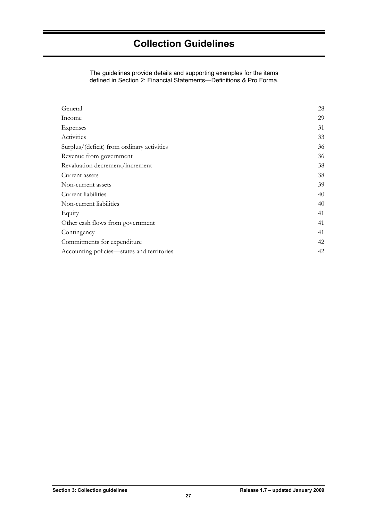<span id="page-28-0"></span>The guidelines provide details and supporting examples for the items defined in Section 2: Financial Statements—Definitions & Pro Forma.

| General                                    | 28 |
|--------------------------------------------|----|
| Income                                     | 29 |
| Expenses                                   | 31 |
| Activities                                 | 33 |
| Surplus/(deficit) from ordinary activities | 36 |
| Revenue from government                    | 36 |
| Revaluation decrement/increment            | 38 |
| Current assets                             | 38 |
| Non-current assets                         | 39 |
| Current liabilities                        | 40 |
| Non-current liabilities                    | 40 |
| Equity                                     | 41 |
| Other cash flows from government           | 41 |
| Contingency                                | 41 |
| Commitments for expenditure                | 42 |
| Accounting policies—states and territories | 42 |
|                                            |    |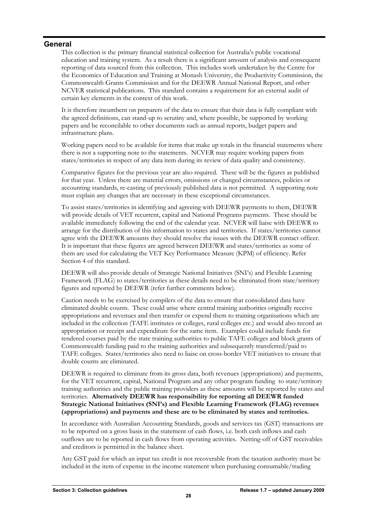# <span id="page-29-0"></span>**General**

This collection is the primary financial statistical collection for Australia's public vocational education and training system. As a result there is a significant amount of analysis and consequent reporting of data sourced from this collection. This includes work undertaken by the Centre for the Economics of Education and Training at Monash University, the Productivity Commission, the Commonwealth Grants Commission and for the DEEWR Annual National Report, and other NCVER statistical publications. This standard contains a requirement for an external audit of certain key elements in the context of this work.

It is therefore incumbent on preparers of the data to ensure that their data is fully compliant with the agreed definitions, can stand-up to scrutiny and, where possible, be supported by working papers and be reconcilable to other documents such as annual reports, budget papers and infrastructure plans.

Working papers need to be available for items that make up totals in the financial statements where there is not a supporting note to the statements. NCVER may require working papers from states/territories in respect of any data item during its review of data quality and consistency.

Comparative figures for the previous year are also required. These will be the figures as published for that year. Unless there are material errors, omissions or changed circumstances, policies or accounting standards, re-casting of previously published data is not permitted. A supporting note must explain any changes that are necessary in these exceptional circumstances.

To assist states/territories in identifying and agreeing with DEEWR payments to them, DEEWR will provide details of VET recurrent, capital and National Programs payments. These should be available immediately following the end of the calendar year. NCVER will liaise with DEEWR to arrange for the distribution of this information to states and territories. If states/territories cannot agree with the DEEWR amounts they should resolve the issues with the DEEWR contact officer. It is important that these figures are agreed between DEEWR and states/territories as some of them are used for calculating the VET Key Performance Measure (KPM) of efficiency. Refer Section 4 of this standard.

DEEWR will also provide details of Strategic National Initiatives (SNI's) and Flexible Learning Framework (FLAG) to states/territories as these details need to be eliminated from state/territory figures and reported by DEEWR (refer further comments below).

Caution needs to be exercised by compilers of the data to ensure that consolidated data have eliminated double counts. These could arise where central training authorities originally receive appropriations and revenues and then transfer or expend them to training organisations which are included in the collection (TAFE institutes or colleges, rural colleges etc.) and would also record an appropriation or receipt and expenditure for the same item. Examples could include funds for tendered courses paid by the state training authorities to public TAFE colleges and block grants of Commonwealth funding paid to the training authorities and subsequently transferred/paid to TAFE colleges. States/territories also need to liaise on cross-border VET initiatives to ensure that double counts are eliminated.

DEEWR is required to eliminate from its gross data, both revenues (appropriations) and payments, for the VET recurrent, capital, National Program and any other program funding to state/territory training authorities and the public training providers as these amounts will be reported by states and territories. **Alternatively DEEWR has responsibility for reporting all DEEWR funded Strategic National Initiatives (SNI's) and Flexible Learning Framework (FLAG) revenues (appropriations) and payments and these are to be eliminated by states and territories.**

In accordance with Australian Accounting Standards, goods and services tax (GST) transactions are to be reported on a gross basis in the statement of cash flows, i.e. both cash inflows and cash outflows are to be reported in cash flows from operating activities. Netting-off of GST receivables and creditors is permitted in the balance sheet.

Any GST paid for which an input tax credit is not recoverable from the taxation authority must be included in the item of expense in the income statement when purchasing consumable/trading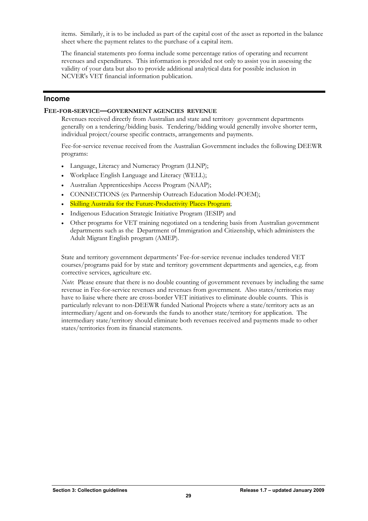<span id="page-30-0"></span>items. Similarly, it is to be included as part of the capital cost of the asset as reported in the balance sheet where the payment relates to the purchase of a capital item.

The financial statements pro forma include some percentage ratios of operating and recurrent revenues and expenditures. This information is provided not only to assist you in assessing the validity of your data but also to provide additional analytical data for possible inclusion in NCVER's VET financial information publication.

# **Income**

# **FEE-FOR-SERVICE—GOVERNMENT AGENCIES REVENUE**

Revenues received directly from Australian and state and territory government departments generally on a tendering/bidding basis. Tendering/bidding would generally involve shorter term, individual project/course specific contracts, arrangements and payments.

Fee-for-service revenue received from the Australian Government includes the following DEEWR programs:

- Language, Literacy and Numeracy Program (LLNP);
- Workplace English Language and Literacy (WELL);
- Australian Apprenticeships Access Program (NAAP);
- CONNECTIONS (ex Partnership Outreach Education Model-POEM);
- Skilling Australia for the Future-Productivity Places Program;
- Indigenous Education Strategic Initiative Program (IESIP) and
- Other programs for VET training negotiated on a tendering basis from Australian government departments such as the Department of Immigration and Citizenship, which administers the Adult Migrant English program (AMEP).

State and territory government departments' Fee-for-service revenue includes tendered VET courses/programs paid for by state and territory government departments and agencies, e.g. from corrective services, agriculture etc.

*Note*: Please ensure that there is no double counting of government revenues by including the same revenue in Fee-for-service revenues and revenues from government. Also states/territories may have to liaise where there are cross-border VET initiatives to eliminate double counts. This is particularly relevant to non-DEEWR funded National Projects where a state/territory acts as an intermediary/agent and on-forwards the funds to another state/territory for application. The intermediary state/territory should eliminate both revenues received and payments made to other states/territories from its financial statements.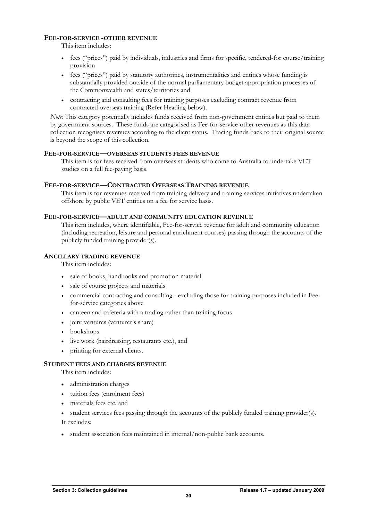# **FEE-FOR-SERVICE -OTHER REVENUE**

This item includes:

- fees ("prices") paid by individuals, industries and firms for specific, tendered-for course/training provision
- fees ("prices") paid by statutory authorities, instrumentalities and entities whose funding is substantially provided outside of the normal parliamentary budget appropriation processes of the Commonwealth and states/territories and
- contracting and consulting fees for training purposes excluding contract revenue from contracted overseas training (Refer Heading below).

*Note:* This category potentially includes funds received from non-government entities but paid to them by government sources. These funds are categorised as Fee-for-service-other revenues as this data collection recognises revenues according to the client status. Tracing funds back to their original source is beyond the scope of this collection.

# **FEE-FOR-SERVICE—OVERSEAS STUDENTS FEES REVENUE**

This item is for fees received from overseas students who come to Australia to undertake VET studies on a full fee-paying basis.

## **FEE-FOR-SERVICE—CONTRACTED OVERSEAS TRAINING REVENUE**

This item is for revenues received from training delivery and training services initiatives undertaken offshore by public VET entities on a fee for service basis.

## **FEE-FOR-SERVICE—ADULT AND COMMUNITY EDUCATION REVENUE**

This item includes, where identifiable, Fee-for-service revenue for adult and community education (including recreation, leisure and personal enrichment courses) passing through the accounts of the publicly funded training provider(s).

# **ANCILLARY TRADING REVENUE**

This item includes:

- sale of books, handbooks and promotion material
- sale of course projects and materials
- commercial contracting and consulting excluding those for training purposes included in Feefor-service categories above
- canteen and cafeteria with a trading rather than training focus
- joint ventures (venturer's share)
- bookshops
- live work (hairdressing, restaurants etc.), and
- printing for external clients.

#### **STUDENT FEES AND CHARGES REVENUE**

This item includes:

- administration charges
- tuition fees (enrolment fees)
- materials fees etc. and
- student services fees passing through the accounts of the publicly funded training provider(s).

It excludes:

• student association fees maintained in internal/non-public bank accounts.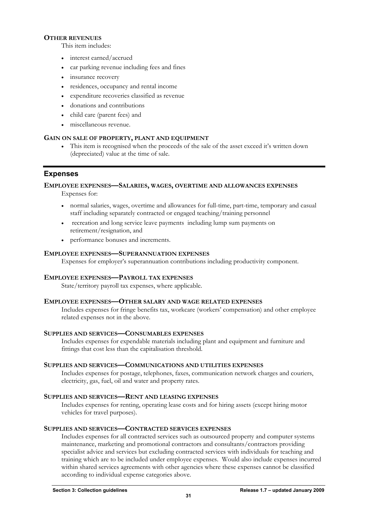# <span id="page-32-0"></span>**OTHER REVENUES**

This item includes:

- interest earned/accrued
- car parking revenue including fees and fines
- insurance recovery
- residences, occupancy and rental income
- expenditure recoveries classified as revenue
- donations and contributions
- child care (parent fees) and
- miscellaneous revenue.

# **GAIN ON SALE OF PROPERTY, PLANT AND EQUIPMENT**

• This item is recognised when the proceeds of the sale of the asset exceed it's written down (depreciated) value at the time of sale.

# **Expenses**

# **EMPLOYEE EXPENSES—SALARIES, WAGES, OVERTIME AND ALLOWANCES EXPENSES**

Expenses for:

- normal salaries, wages, overtime and allowances for full-time, part-time, temporary and casual staff including separately contracted or engaged teaching/training personnel
- recreation and long service leave payments including lump sum payments on retirement/resignation, and
- performance bonuses and increments.

# **EMPLOYEE EXPENSES—SUPERANNUATION EXPENSES**

Expenses for employer's superannuation contributions including productivity component.

# **EMPLOYEE EXPENSES—PAYROLL TAX EXPENSES**

State/territory payroll tax expenses, where applicable.

# **EMPLOYEE EXPENSES—OTHER SALARY AND WAGE RELATED EXPENSES**

Includes expenses for fringe benefits tax, workcare (workers' compensation) and other employee related expenses not in the above.

# **SUPPLIES AND SERVICES—CONSUMABLES EXPENSES**

Includes expenses for expendable materials including plant and equipment and furniture and fittings that cost less than the capitalisation threshold.

# **SUPPLIES AND SERVICES—COMMUNICATIONS AND UTILITIES EXPENSES**

Includes expenses for postage, telephones, faxes, communication network charges and couriers, electricity, gas, fuel, oil and water and property rates.

# **SUPPLIES AND SERVICES—RENT AND LEASING EXPENSES**

Includes expenses for renting, operating lease costs and for hiring assets (except hiring motor vehicles for travel purposes).

# **SUPPLIES AND SERVICES—CONTRACTED SERVICES EXPENSES**

Includes expenses for all contracted services such as outsourced property and computer systems maintenance, marketing and promotional contractors and consultants/contractors providing specialist advice and services but excluding contracted services with individuals for teaching and training which are to be included under employee expenses. Would also include expenses incurred within shared services agreements with other agencies where these expenses cannot be classified according to individual expense categories above.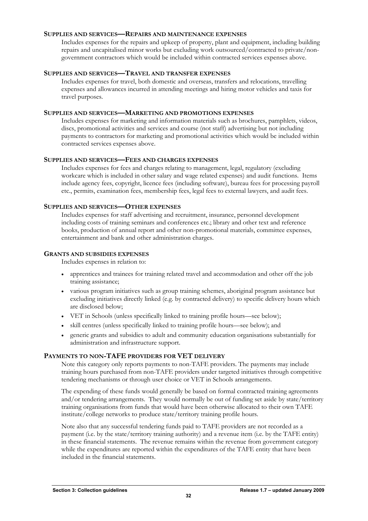# **SUPPLIES AND SERVICES—REPAIRS AND MAINTENANCE EXPENSES**

Includes expenses for the repairs and upkeep of property, plant and equipment, including building repairs and uncapitalised minor works but excluding work outsourced/contracted to private/nongovernment contractors which would be included within contracted services expenses above.

# **SUPPLIES AND SERVICES—TRAVEL AND TRANSFER EXPENSES**

Includes expenses for travel, both domestic and overseas, transfers and relocations, travelling expenses and allowances incurred in attending meetings and hiring motor vehicles and taxis for travel purposes.

# **SUPPLIES AND SERVICES—MARKETING AND PROMOTIONS EXPENSES**

Includes expenses for marketing and information materials such as brochures, pamphlets, videos, discs, promotional activities and services and course (not staff) advertising but not including payments to contractors for marketing and promotional activities which would be included within contracted services expenses above.

# **SUPPLIES AND SERVICES—FEES AND CHARGES EXPENSES**

Includes expenses for fees and charges relating to management, legal, regulatory (excluding workcare which is included in other salary and wage related expenses) and audit functions. Items include agency fees, copyright, licence fees (including software), bureau fees for processing payroll etc., permits, examination fees, membership fees, legal fees to external lawyers, and audit fees.

# **SUPPLIES AND SERVICES—OTHER EXPENSES**

Includes expenses for staff advertising and recruitment, insurance, personnel development including costs of training seminars and conferences etc.; library and other text and reference books, production of annual report and other non-promotional materials, committee expenses, entertainment and bank and other administration charges.

# **GRANTS AND SUBSIDIES EXPENSES**

Includes expenses in relation to:

- apprentices and trainees for training related travel and accommodation and other off the job training assistance;
- various program initiatives such as group training schemes, aboriginal program assistance but excluding initiatives directly linked (e.g. by contracted delivery) to specific delivery hours which are disclosed below;
- VET in Schools (unless specifically linked to training profile hours—see below);
- skill centres (unless specifically linked to training profile hours—see below); and
- generic grants and subsidies to adult and community education organisations substantially for administration and infrastructure support.

# **PAYMENTS TO NON-TAFE PROVIDERS FOR VET DELIVERY**

Note this category only reports payments to non-TAFE providers. The payments may include training hours purchased from non-TAFE providers under targeted initiatives through competitive tendering mechanisms or through user choice or VET in Schools arrangements.

The expending of these funds would generally be based on formal contracted training agreements and/or tendering arrangements. They would normally be out of funding set aside by state/territory training organisations from funds that would have been otherwise allocated to their own TAFE institute/college networks to produce state/territory training profile hours.

Note also that any successful tendering funds paid to TAFE providers are not recorded as a payment (i.e. by the state/territory training authority) and a revenue item (i.e. by the TAFE entity) in these financial statements. The revenue remains within the revenue from government category while the expenditures are reported within the expenditures of the TAFE entity that have been included in the financial statements.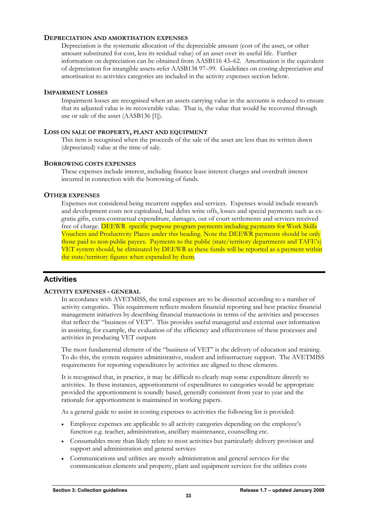# <span id="page-34-0"></span>**DEPRECIATION AND AMORTISATION EXPENSES**

Depreciation is the systematic allocation of the depreciable amount (cost of the asset, or other amount substituted for cost, less its residual value) of an asset over its useful life. Further information on depreciation can be obtained from AASB116 43–62. Amortisation is the equivalent of depreciation for intangible assets-refer AASB138 97–99. Guidelines on costing depreciation and amortisation to activities categories are included in the activity expenses section below.

# **IMPAIRMENT LOSSES**

Impairment losses are recognised when an assets carrying value in the accounts is reduced to ensure that its adjusted value is its recoverable value. That is, the value that would be recovered through use or sale of the asset (AASB136 [1]).

# **LOSS ON SALE OF PROPERTY, PLANT AND EQUIPMENT**

This item is recognised when the proceeds of the sale of the asset are less than its written down (depreciated) value at the time of sale.

# **BORROWING COSTS EXPENSES**

These expenses include interest, including finance lease interest charges and overdraft interest incurred in connection with the borrowing of funds.

# **OTHER EXPENSES**

Expenses not considered being recurrent supplies and services. Expenses would include research and development costs not capitalised, bad debts write offs, losses and special payments such as exgratia gifts, extra-contractual expenditure, damages, out of court settlements and services received free of charge. **DEEWR** specific purpose program payments including payments for Work Skills Vouchers and Productivity Places under this heading. Note the DEEWR payments should be only those paid to non-public payees. Payments to the public (state/territory departments and TAFE's) VET system should, be eliminated by DEEWR as these funds will be reported as a payment within the state/territory figures when expended by them.

# **Activities**

# **ACTIVITY EXPENSES - GENERAL**

In accordance with AVETMISS, the total expenses are to be dissected according to a number of activity categories. This requirement reflects modern financial reporting and best practice financial management initiatives by describing financial transactions in terms of the activities and processes that reflect the "business of VET". This provides useful managerial and external user information in assisting, for example, the evaluation of the efficiency and effectiveness of these processes and activities in producing VET outputs

The most fundamental element of the "business of VET" is the delivery of education and training. To do this, the system requires administrative, student and infrastructure support. The AVETMISS requirements for reporting expenditures by activities are aligned to these elements.

It is recognised that, in practice, it may be difficult to clearly map some expenditure directly to activities. In these instances, apportionment of expenditures to categories would be appropriate provided the apportionment is soundly based, generally consistent from year to year and the rationale for apportionment is maintained in working papers.

As a general guide to assist in costing expenses to activities the following list is provided:

- Employee expenses are applicable to all activity categories depending on the employee's function e.g. teacher, administration, ancillary maintenance, counselling etc.
- Consumables more than likely relate to most activities but particularly delivery provision and support and administration and general services
- Communications and utilities are mostly administration and general services for the communication elements and property, plant and equipment services for the utilities costs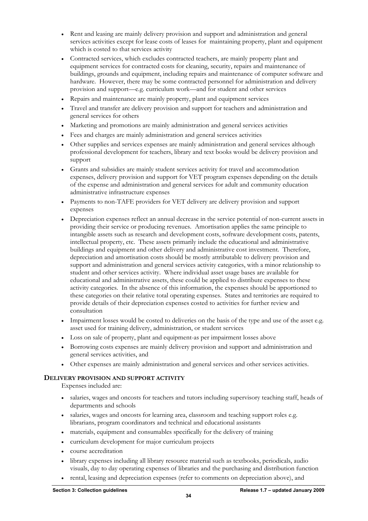- Rent and leasing are mainly delivery provision and support and administration and general services activities except for lease costs of leases for maintaining property, plant and equipment which is costed to that services activity
- Contracted services, which excludes contracted teachers, are mainly property plant and equipment services for contracted costs for cleaning, security, repairs and maintenance of buildings, grounds and equipment, including repairs and maintenance of computer software and hardware. However, there may be some contracted personnel for administration and delivery provision and support—e.g. curriculum work—and for student and other services
- Repairs and maintenance are mainly property, plant and equipment services
- Travel and transfer are delivery provision and support for teachers and administration and general services for others
- Marketing and promotions are mainly administration and general services activities
- Fees and charges are mainly administration and general services activities
- Other supplies and services expenses are mainly administration and general services although professional development for teachers, library and text books would be delivery provision and support
- Grants and subsidies are mainly student services activity for travel and accommodation expenses, delivery provision and support for VET program expenses depending on the details of the expense and administration and general services for adult and community education administrative infrastructure expenses
- Payments to non-TAFE providers for VET delivery are delivery provision and support expenses
- Depreciation expenses reflect an annual decrease in the service potential of non-current assets in providing their service or producing revenues. Amortisation applies the same principle to intangible assets such as research and development costs, software development costs, patents, intellectual property, etc. These assets primarily include the educational and administrative buildings and equipment and other delivery and administrative cost investment. Therefore, depreciation and amortisation costs should be mostly attributable to delivery provision and support and administration and general services activity categories, with a minor relationship to student and other services activity. Where individual asset usage bases are available for educational and administrative assets, these could be applied to distribute expenses to these activity categories. In the absence of this information, the expenses should be apportioned to these categories on their relative total operating expenses. States and territories are required to provide details of their depreciation expenses costed to activities for further review and consultation
- Impairment losses would be costed to deliveries on the basis of the type and use of the asset e.g. asset used for training delivery, administration, or student services
- Loss on sale of property, plant and equipment-as per impairment losses above
- Borrowing costs expenses are mainly delivery provision and support and administration and general services activities, and
- Other expenses are mainly administration and general services and other services activities.

# **DELIVERY PROVISION AND SUPPORT ACTIVITY**

Expenses included are:

- salaries, wages and oncosts for teachers and tutors including supervisory teaching staff, heads of departments and schools
- salaries, wages and oncosts for learning area, classroom and teaching support roles e.g. librarians, program coordinators and technical and educational assistants
- materials, equipment and consumables specifically for the delivery of training
- curriculum development for major curriculum projects
- course accreditation
- library expenses including all library resource material such as textbooks, periodicals, audio visuals, day to day operating expenses of libraries and the purchasing and distribution function
- rental, leasing and depreciation expenses (refer to comments on depreciation above), and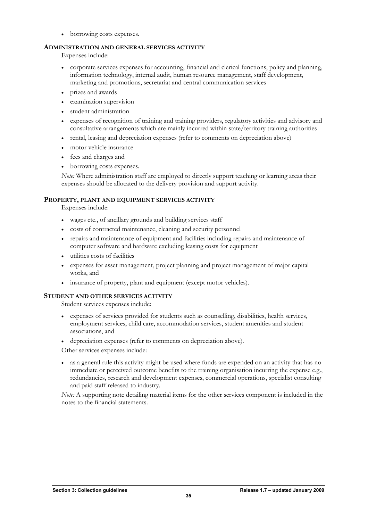• borrowing costs expenses.

# **ADMINISTRATION AND GENERAL SERVICES ACTIVITY**

Expenses include:

- corporate services expenses for accounting, financial and clerical functions, policy and planning, information technology, internal audit, human resource management, staff development, marketing and promotions, secretariat and central communication services
- prizes and awards
- examination supervision
- student administration
- expenses of recognition of training and training providers, regulatory activities and advisory and consultative arrangements which are mainly incurred within state/territory training authorities
- rental, leasing and depreciation expenses (refer to comments on depreciation above)
- motor vehicle insurance
- fees and charges and
- borrowing costs expenses.

*Note:* Where administration staff are employed to directly support teaching or learning areas their expenses should be allocated to the delivery provision and support activity.

# **PROPERTY, PLANT AND EQUIPMENT SERVICES ACTIVITY**

Expenses include:

- wages etc., of ancillary grounds and building services staff
- costs of contracted maintenance, cleaning and security personnel
- repairs and maintenance of equipment and facilities including repairs and maintenance of computer software and hardware excluding leasing costs for equipment
- utilities costs of facilities
- expenses for asset management, project planning and project management of major capital works, and
- insurance of property, plant and equipment (except motor vehicles).

# **STUDENT AND OTHER SERVICES ACTIVITY**

Student services expenses include:

- expenses of services provided for students such as counselling, disabilities, health services, employment services, child care, accommodation services, student amenities and student associations, and
- depreciation expenses (refer to comments on depreciation above).

Other services expenses include:

• as a general rule this activity might be used where funds are expended on an activity that has no immediate or perceived outcome benefits to the training organisation incurring the expense e.g., redundancies, research and development expenses, commercial operations, specialist consulting and paid staff released to industry.

*Note:* A supporting note detailing material items for the other services component is included in the notes to the financial statements.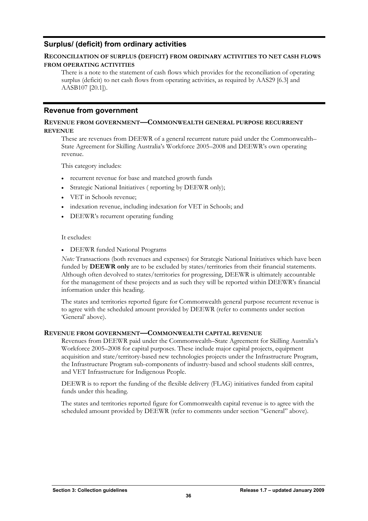# <span id="page-37-0"></span>**Surplus/ (deficit) from ordinary activities**

# **RECONCILIATION OF SURPLUS (DEFICIT) FROM ORDINARY ACTIVITIES TO NET CASH FLOWS FROM OPERATING ACTIVITIES**

There is a note to the statement of cash flows which provides for the reconciliation of operating surplus (deficit) to net cash flows from operating activities, as required by AAS29 [6.3] and AASB107 [20.1]).

# **Revenue from government**

# **REVENUE FROM GOVERNMENT—COMMONWEALTH GENERAL PURPOSE RECURRENT REVENUE**

These are revenues from DEEWR of a general recurrent nature paid under the Commonwealth– State Agreement for Skilling Australia's Workforce 2005–2008 and DEEWR's own operating revenue.

This category includes:

- recurrent revenue for base and matched growth funds
- Strategic National Initiatives (reporting by DEEWR only);
- VET in Schools revenue;
- indexation revenue, including indexation for VET in Schools; and
- DEEWR's recurrent operating funding

# It excludes:

• DEEWR funded National Programs

*Note:* Transactions (both revenues and expenses) for Strategic National Initiatives which have been funded by **DEEWR** only are to be excluded by states/territories from their financial statements. Although often devolved to states/territories for progressing, DEEWR is ultimately accountable for the management of these projects and as such they will be reported within DEEWR's financial information under this heading.

The states and territories reported figure for Commonwealth general purpose recurrent revenue is to agree with the scheduled amount provided by DEEWR (refer to comments under section 'General' above).

# **REVENUE FROM GOVERNMENT—COMMONWEALTH CAPITAL REVENUE**

Revenues from DEEWR paid under the Commonwealth–State Agreement for Skilling Australia's Workforce 2005–2008 for capital purposes. These include major capital projects, equipment acquisition and state/territory-based new technologies projects under the Infrastructure Program, the Infrastructure Program sub-components of industry-based and school students skill centres, and VET Infrastructure for Indigenous People.

DEEWR is to report the funding of the flexible delivery (FLAG) initiatives funded from capital funds under this heading.

The states and territories reported figure for Commonwealth capital revenue is to agree with the scheduled amount provided by DEEWR (refer to comments under section "General" above).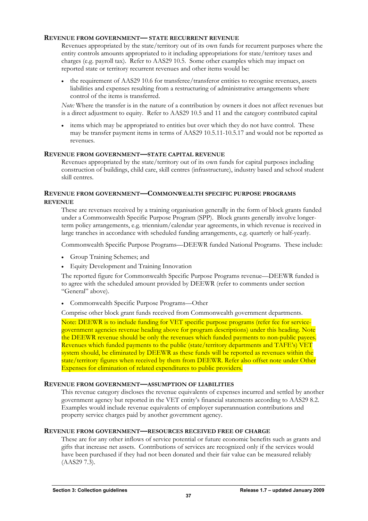# **REVENUE FROM GOVERNMENT— STATE RECURRENT REVENUE**

Revenues appropriated by the state/territory out of its own funds for recurrent purposes where the entity controls amounts appropriated to it including appropriations for state/territory taxes and charges (e.g. payroll tax). Refer to AAS29 10.5. Some other examples which may impact on reported state or territory recurrent revenues and other items would be:

• the requirement of AAS29 10.6 for transferee/transferor entities to recognise revenues, assets liabilities and expenses resulting from a restructuring of administrative arrangements where control of the items is transferred.

*Note:* Where the transfer is in the nature of a contribution by owners it does not affect revenues but is a direct adjustment to equity. Refer to AAS29 10.5 and 11 and the category contributed capital

• items which may be appropriated to entities but over which they do not have control. These may be transfer payment items in terms of AAS29 10.5.11-10.5.17 and would not be reported as revenues.

# **REVENUE FROM GOVERNMENT—STATE CAPITAL REVENUE**

Revenues appropriated by the state/territory out of its own funds for capital purposes including construction of buildings, child care, skill centres (infrastructure), industry based and school student skill centres.

# **REVENUE FROM GOVERNMENT—COMMONWEALTH SPECIFIC PURPOSE PROGRAMS REVENUE**

These are revenues received by a training organisation generally in the form of block grants funded under a Commonwealth Specific Purpose Program (SPP). Block grants generally involve longerterm policy arrangements, e.g. triennium/calendar year agreements, in which revenue is received in large tranches in accordance with scheduled funding arrangements, e.g. quarterly or half-yearly.

Commonwealth Specific Purpose Programs—DEEWR funded National Programs. These include:

- Group Training Schemes; and
- Equity Development and Training Innovation

The reported figure for Commonwealth Specific Purpose Programs revenue—DEEWR funded is to agree with the scheduled amount provided by DEEWR (refer to comments under section "General" above).

• Commonwealth Specific Purpose Programs—Other

Comprise other block grant funds received from Commonwealth government departments.

Note: DEEWR is to include funding for VET specific purpose programs (refer fee for servicegovernment agencies revenue heading above for program descriptions) under this heading. Note the DEEWR revenue should be only the revenues which funded payments to non-public payees. Revenues which funded payments to the public (state/territory departments and TAFE's) VET system should, be eliminated by DEEWR as these funds will be reported as revenues within the state/territory figures when received by them from DEEWR. Refer also offset note under Other Expenses for elimination of related expenditures to public providers.

# **REVENUE FROM GOVERNMENT—ASSUMPTION OF LIABILITIES**

This revenue category discloses the revenue equivalents of expenses incurred and settled by another government agency but reported in the VET entity's financial statements according to AAS29 8.2. Examples would include revenue equivalents of employer superannuation contributions and property service charges paid by another government agency.

# **REVENUE FROM GOVERNMENT—RESOURCES RECEIVED FREE OF CHARGE**

These are for any other inflows of service potential or future economic benefits such as grants and gifts that increase net assets. Contributions of services are recognized only if the services would have been purchased if they had not been donated and their fair value can be measured reliably (AAS29 7.3).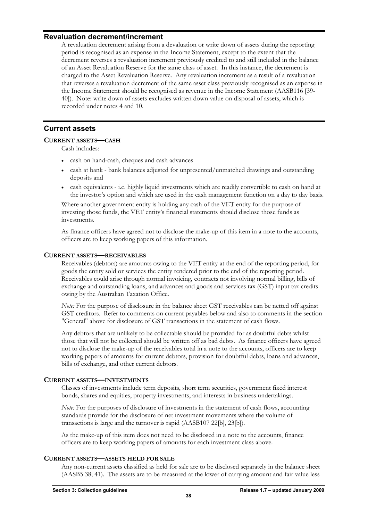# <span id="page-39-0"></span>**Revaluation decrement/increment**

A revaluation decrement arising from a devaluation or write down of assets during the reporting period is recognised as an expense in the Income Statement, except to the extent that the decrement reverses a revaluation increment previously credited to and still included in the balance of an Asset Revaluation Reserve for the same class of asset. In this instance, the decrement is charged to the Asset Revaluation Reserve. Any revaluation increment as a result of a revaluation that reverses a revaluation decrement of the same asset class previously recognised as an expense in the Income Statement should be recognised as revenue in the Income Statement (AASB116 [39- 40]). Note: write down of assets excludes written down value on disposal of assets, which is recorded under notes 4 and 10.

# **Current assets**

# **CURRENT ASSETS—CASH**

Cash includes:

- cash on hand-cash, cheques and cash advances
- cash at bank bank balances adjusted for unpresented/unmatched drawings and outstanding deposits and
- cash equivalents i.e. highly liquid investments which are readily convertible to cash on hand at the investor's option and which are used in the cash management function on a day to day basis.

Where another government entity is holding any cash of the VET entity for the purpose of investing those funds, the VET entity's financial statements should disclose those funds as investments.

As finance officers have agreed not to disclose the make-up of this item in a note to the accounts, officers are to keep working papers of this information.

# **CURRENT ASSETS—RECEIVABLES**

Receivables (debtors) are amounts owing to the VET entity at the end of the reporting period, for goods the entity sold or services the entity rendered prior to the end of the reporting period. Receivables could arise through normal invoicing, contracts not involving normal billing, bills of exchange and outstanding loans, and advances and goods and services tax (GST) input tax credits owing by the Australian Taxation Office.

*Note:* For the purpose of disclosure in the balance sheet GST receivables can be netted off against GST creditors. Refer to comments on current payables below and also to comments in the section "General" above for disclosure of GST transactions in the statement of cash flows.

Any debtors that are unlikely to be collectable should be provided for as doubtful debts whilst those that will not be collected should be written off as bad debts. As finance officers have agreed not to disclose the make-up of the receivables total in a note to the accounts, officers are to keep working papers of amounts for current debtors, provision for doubtful debts, loans and advances, bills of exchange, and other current debtors.

# **CURRENT ASSETS—INVESTMENTS**

Classes of investments include term deposits, short term securities, government fixed interest bonds, shares and equities, property investments, and interests in business undertakings.

*Note:* For the purposes of disclosure of investments in the statement of cash flows, accounting standards provide for the disclosure of net investment movements where the volume of transactions is large and the turnover is rapid (AASB107 22[b], 23[b]).

As the make-up of this item does not need to be disclosed in a note to the accounts, finance officers are to keep working papers of amounts for each investment class above.

# **CURRENT ASSETS—ASSETS HELD FOR SALE**

Any non-current assets classified as held for sale are to be disclosed separately in the balance sheet (AASB5 38; 41). The assets are to be measured at the lower of carrying amount and fair value less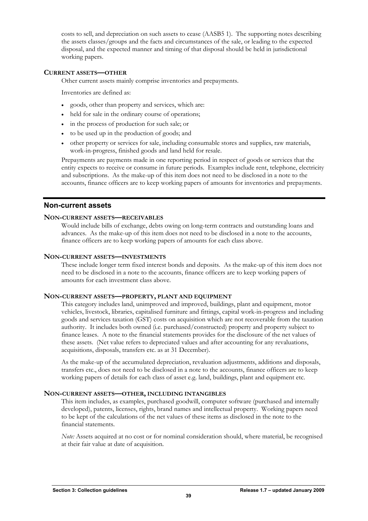<span id="page-40-0"></span>costs to sell, and depreciation on such assets to cease (AASB5 1). The supporting notes describing the assets classes/groups and the facts and circumstances of the sale, or leading to the expected disposal, and the expected manner and timing of that disposal should be held in jurisdictional working papers.

# **CURRENT ASSETS—OTHER**

Other current assets mainly comprise inventories and prepayments.

Inventories are defined as:

- goods, other than property and services, which are:
- held for sale in the ordinary course of operations;
- in the process of production for such sale; or
- to be used up in the production of goods; and
- other property or services for sale, including consumable stores and supplies, raw materials, work-in-progress, finished goods and land held for resale.

Prepayments are payments made in one reporting period in respect of goods or services that the entity expects to receive or consume in future periods. Examples include rent, telephone, electricity and subscriptions. As the make-up of this item does not need to be disclosed in a note to the accounts, finance officers are to keep working papers of amounts for inventories and prepayments.

# **Non-current assets**

# **NON-CURRENT ASSETS—RECEIVABLES**

Would include bills of exchange, debts owing on long-term contracts and outstanding loans and advances. As the make-up of this item does not need to be disclosed in a note to the accounts, finance officers are to keep working papers of amounts for each class above.

## **NON-CURRENT ASSETS—INVESTMENTS**

These include longer term fixed interest bonds and deposits. As the make-up of this item does not need to be disclosed in a note to the accounts, finance officers are to keep working papers of amounts for each investment class above.

# **NON-CURRENT ASSETS—PROPERTY, PLANT AND EQUIPMENT**

This category includes land, unimproved and improved, buildings, plant and equipment, motor vehicles, livestock, libraries, capitalised furniture and fittings, capital work-in-progress and including goods and services taxation (GST) costs on acquisition which are not recoverable from the taxation authority. It includes both owned (i.e. purchased/constructed) property and property subject to finance leases. A note to the financial statements provides for the disclosure of the net values of these assets. (Net value refers to depreciated values and after accounting for any revaluations, acquisitions, disposals, transfers etc. as at 31 December).

As the make-up of the accumulated depreciation, revaluation adjustments, additions and disposals, transfers etc., does not need to be disclosed in a note to the accounts, finance officers are to keep working papers of details for each class of asset e.g. land, buildings, plant and equipment etc.

# **NON-CURRENT ASSETS—OTHER, INCLUDING INTANGIBLES**

This item includes, as examples, purchased goodwill, computer software (purchased and internally developed), patents, licenses, rights, brand names and intellectual property. Working papers need to be kept of the calculations of the net values of these items as disclosed in the note to the financial statements.

*Note:* Assets acquired at no cost or for nominal consideration should, where material, be recognised at their fair value at date of acquisition.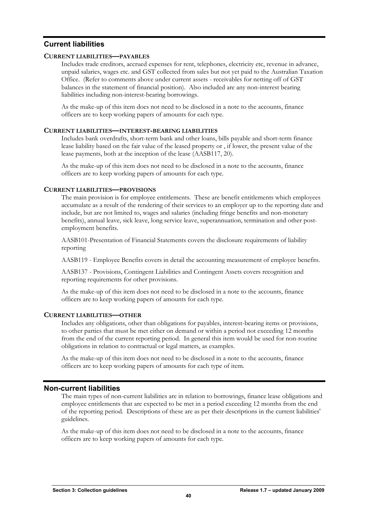# <span id="page-41-0"></span>**Current liabilities**

# **CURRENT LIABILITIES—PAYABLES**

Includes trade creditors, accrued expenses for rent, telephones, electricity etc, revenue in advance, unpaid salaries, wages etc. and GST collected from sales but not yet paid to the Australian Taxation Office. (Refer to comments above under current assets - receivables for netting off of GST balances in the statement of financial position). Also included are any non-interest bearing liabilities including non-interest-bearing borrowings.

As the make-up of this item does not need to be disclosed in a note to the accounts, finance officers are to keep working papers of amounts for each type.

# **CURRENT LIABILITIES—INTEREST-BEARING LIABILITIES**

Includes bank overdrafts, short-term bank and other loans, bills payable and short-term finance lease liability based on the fair value of the leased property or , if lower, the present value of the lease payments, both at the inception of the lease (AASB117, 20).

As the make-up of this item does not need to be disclosed in a note to the accounts, finance officers are to keep working papers of amounts for each type.

# **CURRENT LIABILITIES—PROVISIONS**

The main provision is for employee entitlements. These are benefit entitlements which employees accumulate as a result of the rendering of their services to an employer up to the reporting date and include, but are not limited to, wages and salaries (including fringe benefits and non-monetary benefits), annual leave, sick leave, long service leave, superannuation, termination and other postemployment benefits.

AASB101-Presentation of Financial Statements covers the disclosure requirements of liability reporting

AASB119 - Employee Benefits covers in detail the accounting measurement of employee benefits.

AASB137 - Provisions, Contingent Liabilities and Contingent Assets covers recognition and reporting requirements for other provisions.

As the make-up of this item does not need to be disclosed in a note to the accounts, finance officers are to keep working papers of amounts for each type.

# **CURRENT LIABILITIES—OTHER**

Includes any obligations, other than obligations for payables, interest-bearing items or provisions, to other parties that must be met either on demand or within a period not exceeding 12 months from the end of the current reporting period. In general this item would be used for non-routine obligations in relation to contractual or legal matters, as examples.

As the make-up of this item does not need to be disclosed in a note to the accounts, finance officers are to keep working papers of amounts for each type of item.

# **Non-current liabilities**

The main types of non-current liabilities are in relation to borrowings, finance lease obligations and employee entitlements that are expected to be met in a period exceeding 12 months from the end of the reporting period. Descriptions of these are as per their descriptions in the current liabilities' guidelines.

As the make-up of this item does not need to be disclosed in a note to the accounts, finance officers are to keep working papers of amounts for each type.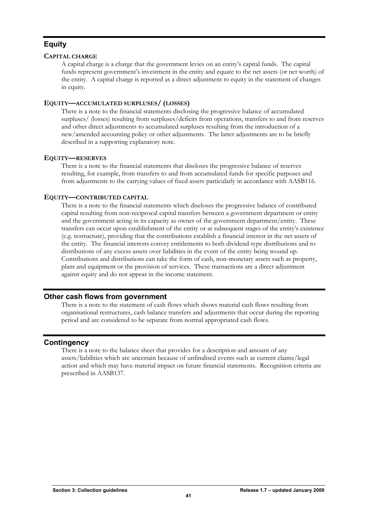# <span id="page-42-0"></span>**Equity**

# **CAPITAL CHARGE**

A capital charge is a charge that the government levies on an entity's capital funds. The capital funds represent government's investment in the entity and equate to the net assets (or net worth) of the entity. A capital charge is reported as a direct adjustment to equity in the statement of changes in equity.

# **EQUITY—ACCUMULATED SURPLUSES/ (LOSSES)**

There is a note to the financial statements disclosing the progressive balance of accumulated surpluses/ (losses) resulting from surpluses/deficits from operations, transfers to and from reserves and other direct adjustments to accumulated surpluses resulting from the introduction of a new/amended accounting policy or other adjustments. The latter adjustments are to be briefly described in a supporting explanatory note.

# **EQUITY—RESERVES**

There is a note to the financial statements that discloses the progressive balance of reserves resulting, for example, from transfers to and from accumulated funds for specific purposes and from adjustments to the carrying values of fixed assets particularly in accordance with AASB116.

# **EQUITY—CONTRIBUTED CAPITAL**

There is a note to the financial statements which discloses the progressive balance of contributed capital resulting from non-reciprocal capital transfers between a government department or entity and the government acting in its capacity as owner of the government department/entity. These transfers can occur upon establishment of the entity or at subsequent stages of the entity's existence (e.g. restructure), providing that the contributions establish a financial interest in the net assets of the entity. The financial interests convey entitlements to both dividend-type distributions and to distributions of any excess assets over liabilities in the event of the entity being wound up. Contributions and distributions can take the form of cash, non-monetary assets such as property, plant and equipment or the provision of services. These transactions are a direct adjustment against equity and do not appear in the income statement.

# **Other cash flows from government**

There is a note to the statement of cash flows which shows material cash flows resulting from organisational restructures, cash balance transfers and adjustments that occur during the reporting period and are considered to be separate from normal appropriated cash flows.

# **Contingency**

There is a note to the balance sheet that provides for a description and amount of any assets/liabilities which are uncertain because of unfinalised events such as current claims/legal action and which may have material impact on future financial statements. Recognition criteria are prescribed in AASB137.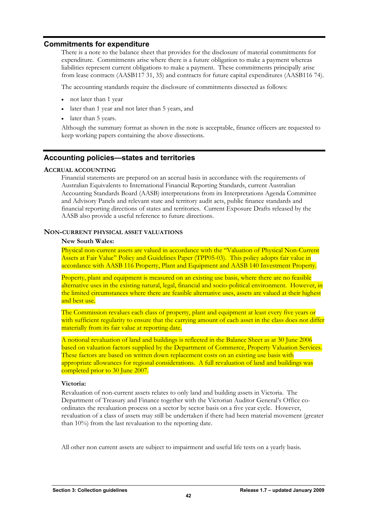# <span id="page-43-0"></span>**Commitments for expenditure**

There is a note to the balance sheet that provides for the disclosure of material commitments for expenditure. Commitments arise where there is a future obligation to make a payment whereas liabilities represent current obligations to make a payment. These commitments principally arise from lease contracts (AASB117 31, 35) and contracts for future capital expenditures (AASB116 74).

The accounting standards require the disclosure of commitments dissected as follows:

- not later than 1 year
- later than 1 year and not later than 5 years, and
- later than 5 years.

Although the summary format as shown in the note is acceptable, finance officers are requested to keep working papers containing the above dissections.

# **Accounting policies—states and territories**

# **ACCRUAL ACCOUNTING**

Financial statements are prepared on an accrual basis in accordance with the requirements of Australian Equivalents to International Financial Reporting Standards, current Australian Accounting Standards Board (AASB) interpretations from its Interpretations Agenda Committee and Advisory Panels and relevant state and territory audit acts, public finance standards and financial reporting directions of states and territories. Current Exposure Drafts released by the AASB also provide a useful reference to future directions.

# **NON-CURRENT PHYSICAL ASSET VALUATIONS**

# **New South Wales:**

Physical non-current assets are valued in accordance with the "Valuation of Physical Non-Current Assets at Fair Value" Policy and Guidelines Paper (TPP05-03). This policy adopts fair value in accordance with AASB 116 Property, Plant and Equipment and AASB 140 Investment Property.

Property, plant and equipment is measured on an existing use basis, where there are no feasible alternative uses in the existing natural, legal, financial and socio-political environment. However, in the limited circumstances where there are feasible alternative uses, assets are valued at their highest and best use.

The Commission revalues each class of property, plant and equipment at least every five years or with sufficient regularity to ensure that the carrying amount of each asset in the class does not differ materially from its fair value at reporting date.

A notional revaluation of land and buildings is reflected in the Balance Sheet as at 30 June 2006 based on valuation factors supplied by the Department of Commerce, Property Valuation Services. These factors are based on written down replacement costs on an existing use basis with appropriate allowances for regional considerations. A full revaluation of land and buildings was completed prior to 30 June 2007.

# **Victoria:**

Revaluation of non-current assets relates to only land and building assets in Victoria. The Department of Treasury and Finance together with the Victorian Auditor General's Office coordinates the revaluation process on a sector by sector basis on a five year cycle. However, revaluation of a class of assets may still be undertaken if there had been material movement (greater than 10%) from the last revaluation to the reporting date.

All other non current assets are subject to impairment and useful life tests on a yearly basis.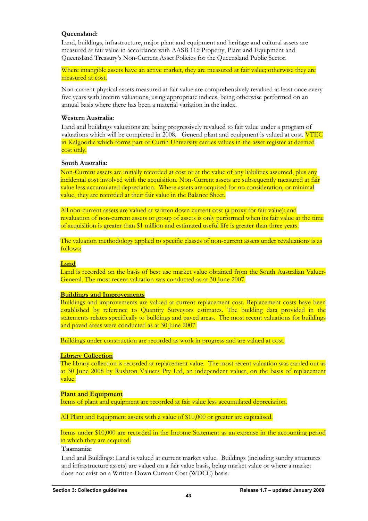# **Queensland:**

Land, buildings, infrastructure, major plant and equipment and heritage and cultural assets are measured at fair value in accordance with AASB 116 Property, Plant and Equipment and Queensland Treasury's Non-Current Asset Policies for the Queensland Public Sector.

Where intangible assets have an active market, they are measured at fair value; otherwise they are measured at cost.

Non-current physical assets measured at fair value are comprehensively revalued at least once every five years with interim valuations, using appropriate indices, being otherwise performed on an annual basis where there has been a material variation in the index.

# **Western Australia:**

Land and buildings valuations are being progressively revalued to fair value under a program of valuations which will be completed in 2008. General plant and equipment is valued at cost. VTEC in Kalgoorlie which forms part of Curtin University carries values in the asset register at deemed cost only.

## **South Australia:**

Non-Current assets are initially recorded at cost or at the value of any liabilities assumed, plus any incidental cost involved with the acquisition. Non-Current assets are subsequently measured at fair value less accumulated depreciation. Where assets are acquired for no consideration, or minimal value, they are recorded at their fair value in the Balance Sheet.

All non-current assets are valued at written down current cost (a proxy for fair value); and revaluation of non-current assets or group of assets is only performed when its fair value at the time of acquisition is greater than \$1 million and estimated useful life is greater than three years.

The valuation methodology applied to specific classes of non-current assets under revaluations is as follows:

#### **Land**

Land is recorded on the basis of best use market value obtained from the South Australian Valuer-General. The most recent valuation was conducted as at 30 June 2007.

#### **Buildings and Improvements**

Buildings and improvements are valued at current replacement cost. Replacement costs have been established by reference to Quantity Surveyors estimates. The building data provided in the statements relates specifically to buildings and paved areas. The most recent valuations for buildings and paved areas were conducted as at 30 June 2007.

Buildings under construction are recorded as work in progress and are valued at cost.

#### **Library Collection**

The library collection is recorded at replacement value. The most recent valuation was carried out as at 30 June 2008 by Rushton Valuers Pty Ltd, an independent valuer, on the basis of replacement value.

# **Plant and Equipment**

Items of plant and equipment are recorded at fair value less accumulated depreciation.

All Plant and Equipment assets with a value of \$10,000 or greater are capitalised.

Items under \$10,000 are recorded in the Income Statement as an expense in the accounting period in which they are acquired.

# **Tasmania:**

Land and Buildings: Land is valued at current market value. Buildings (including sundry structures and infrastructure assets) are valued on a fair value basis, being market value or where a market does not exist on a Written Down Current Cost (WDCC) basis.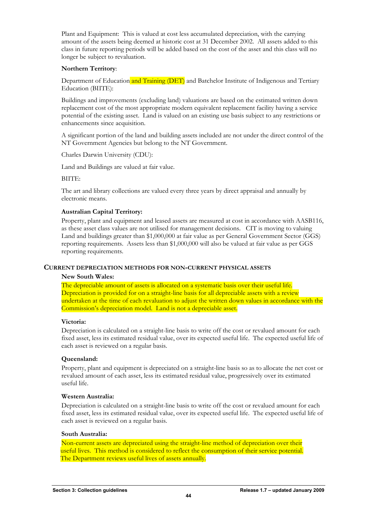Plant and Equipment: This is valued at cost less accumulated depreciation, with the carrying amount of the assets being deemed at historic cost at 31 December 2002. All assets added to this class in future reporting periods will be added based on the cost of the asset and this class will no longer be subject to revaluation.

# **Northern Territory**:

Department of Education and Training (DET) and Batchelor Institute of Indigenous and Tertiary Education (BIITE):

Buildings and improvements (excluding land) valuations are based on the estimated written down replacement cost of the most appropriate modern equivalent replacement facility having a service potential of the existing asset. Land is valued on an existing use basis subject to any restrictions or enhancements since acquisition.

A significant portion of the land and building assets included are not under the direct control of the NT Government Agencies but belong to the NT Government.

Charles Darwin University (CDU):

Land and Buildings are valued at fair value.

BIITE:

The art and library collections are valued every three years by direct appraisal and annually by electronic means.

# **Australian Capital Territory:**

Property, plant and equipment and leased assets are measured at cost in accordance with AASB116, as these asset class values are not utilised for management decisions. CIT is moving to valuing Land and buildings greater than \$1,000,000 at fair value as per General Government Sector (GGS) reporting requirements. Assets less than \$1,000,000 will also be valued at fair value as per GGS reporting requirements.

#### **CURRENT DEPRECIATION METHODS FOR NON-CURRENT PHYSICAL ASSETS**

#### **New South Wales:**

The depreciable amount of assets is allocated on a systematic basis over their useful life. Depreciation is provided for on a straight-line basis for all depreciable assets with a review undertaken at the time of each revaluation to adjust the written down values in accordance with the Commission's depreciation model. Land is not a depreciable asset.

# **Victoria:**

Depreciation is calculated on a straight-line basis to write off the cost or revalued amount for each fixed asset, less its estimated residual value, over its expected useful life. The expected useful life of each asset is reviewed on a regular basis.

# **Queensland:**

Property, plant and equipment is depreciated on a straight-line basis so as to allocate the net cost or revalued amount of each asset, less its estimated residual value, progressively over its estimated useful life.

# **Western Australia:**

Depreciation is calculated on a straight-line basis to write off the cost or revalued amount for each fixed asset, less its estimated residual value, over its expected useful life. The expected useful life of each asset is reviewed on a regular basis.

#### **South Australia:**

Non-current assets are depreciated using the straight-line method of depreciation over their useful lives. This method is considered to reflect the consumption of their service potential. The Department reviews useful lives of assets annually.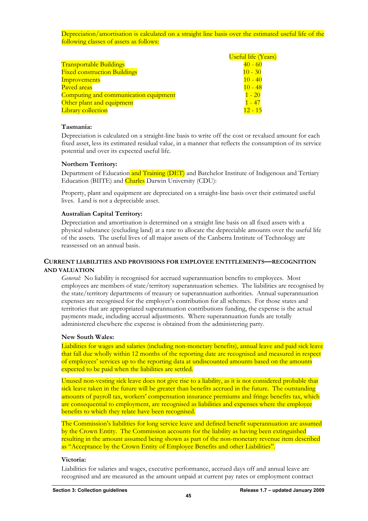Depreciation/amortisation is calculated on a straight line basis over the estimated useful life of the following classes of assets as follows:

|                                       | <b>Useful life (Years)</b> |
|---------------------------------------|----------------------------|
| <b>Transportable Buildings</b>        | $40 - 60$                  |
| <b>Fixed construction Buildings</b>   | $10 - 30$                  |
| Improvements                          | $10 - 40$                  |
| Paved areas                           | $10 - 48$                  |
| Computing and communication equipment | $1 - 20$                   |
| Other plant and equipment             | - 47                       |
| Library collection                    | $12 - 15$                  |

# **Tasmania:**

Depreciation is calculated on a straight-line basis to write off the cost or revalued amount for each fixed asset, less its estimated residual value, in a manner that reflects the consumption of its service potential and over its expected useful life.

## **Northern Territory:**

Department of Education and Training (DET) and Batchelor Institute of Indigenous and Tertiary Education (BIITE) and Charles Darwin University (CDU):

Property, plant and equipment are depreciated on a straight-line basis over their estimated useful lives. Land is not a depreciable asset.

## **Australian Capital Territory:**

Depreciation and amortisation is determined on a straight line basis on all fixed assets with a physical substance (excluding land) at a rate to allocate the depreciable amounts over the useful life of the assets. The useful lives of all major assets of the Canberra Institute of Technology are reassessed on an annual basis.

# **CURRENT LIABILITIES AND PROVISIONS FOR EMPLOYEE ENTITLEMENTS—RECOGNITION AND VALUATION**

*General:* No liability is recognised for accrued superannuation benefits to employees. Most employees are members of state/territory superannuation schemes. The liabilities are recognised by the state/territory departments of treasury or superannuation authorities. Annual superannuation expenses are recognised for the employer's contribution for all schemes. For those states and territories that are appropriated superannuation contributions funding, the expense is the actual payments made, including accrual adjustments. Where superannuation funds are totally administered elsewhere the expense is obtained from the administering party.

#### **New South Wales:**

Liabilities for wages and salaries (including non-monetary benefits), annual leave and paid sick leave that fall due wholly within 12 months of the reporting date are recognised and measured in respect of employees' services up to the reporting data at undiscounted amounts based on the amounts expected to be paid when the liabilities are settled.

Unused non-vesting sick leave does not give rise to a liability, as it is not considered probable that sick leave taken in the future will be greater than benefits accrued in the future. The outstanding amounts of payroll tax, workers' compensation insurance premiums and fringe benefits tax, which are consequential to employment, are recognised as liabilities and expenses where the employee benefits to which they relate have been recognised.

The Commission's liabilities for long service leave and defined benefit superannuation are assumed by the Crown Entity. The Commission accounts for the liability as having been extinguished resulting in the amount assumed being shown as part of the non-monetary revenue item described as "Acceptance by the Crown Entity of Employee Benefits and other Liabilities".

#### **Victoria:**

Liabilities for salaries and wages, executive performance, accrued days off and annual leave are recognised and are measured as the amount unpaid at current pay rates or employment contract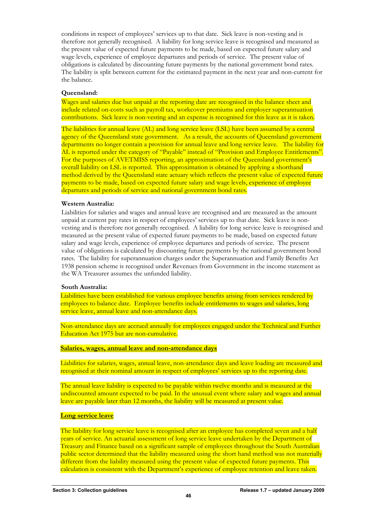conditions in respect of employees' services up to that date. Sick leave is non-vesting and is therefore not generally recognised. A liability for long service leave is recognised and measured as the present value of expected future payments to be made, based on expected future salary and wage levels, experience of employee departures and periods of service. The present value of obligations is calculated by discounting future payments by the national government bond rates. The liability is split between current for the estimated payment in the next year and non-current for the balance.

# **Queensland:**

Wages and salaries due but unpaid at the reporting date are recognised in the balance sheet and include related on-costs such as payroll tax, workcover premiums and employer superannuation contributions. Sick leave is non-vesting and an expense is recognised for this leave as it is taken.

The liabilities for annual leave (AL) and long service leave (LSL) have been assumed by a central agency of the Queensland state government. As a result, the accounts of Queensland government departments no longer contain a provision for annual leave and long service leave. The liability for AL is reported under the category of "Payable" instead of "Provision and Employee Entitlements". For the purposes of AVETMISS reporting, an approximation of the Queensland government's overall liability on LSL is reported. This approximation is obtained by applying a shorthand method derived by the Queensland state actuary which reflects the present value of expected future payments to be made, based on expected future salary and wage levels, experience of employee departures and periods of service and national government bond rates.

# **Western Australia:**

Liabilities for salaries and wages and annual leave are recognised and are measured as the amount unpaid at current pay rates in respect of employees' services up to that date. Sick leave is nonvesting and is therefore not generally recognised. A liability for long service leave is recognised and measured as the present value of expected future payments to be made, based on expected future salary and wage levels, experience of employee departures and periods of service. The present value of obligations is calculated by discounting future payments by the national government bond rates. The liability for superannuation charges under the Superannuation and Family Benefits Act 1938 pension scheme is recognised under Revenues from Government in the income statement as the WA Treasurer assumes the unfunded liability.

# **South Australia:**

Liabilities have been established for various employee benefits arising from services rendered by employees to balance date. Employee benefits include entitlements to wages and salaries, long service leave, annual leave and non-attendance days.

Non-attendance days are accrued annually for employees engaged under the Technical and Further Education Act 1975 but are non-cumulative.

# **Salaries, wages, annual leave and non-attendance days**

Liabilities for salaries, wages, annual leave, non-attendance days and leave loading are measured and recognised at their nominal amount in respect of employees' services up to the reporting date.

The annual leave liability is expected to be payable within twelve months and is measured at the undiscounted amount expected to be paid. In the unusual event where salary and wages and annual leave are payable later than 12 months, the liability will be measured at present value.

# **Long service leave**

The liability for long service leave is recognised after an employee has completed seven and a half years of service. An actuarial assessment of long service leave undertaken by the Department of Treasury and Finance based on a significant sample of employees throughout the South Australian public sector determined that the liability measured using the short hand method was not materially different from the liability measured using the present value of expected future payments. This calculation is consistent with the Department's experience of employee retention and leave taken.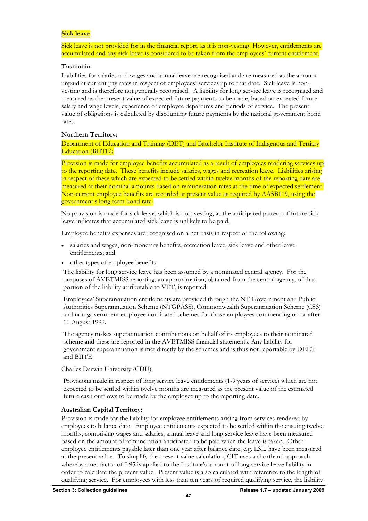## **Sick leave**

Sick leave is not provided for in the financial report, as it is non-vesting. However, entitlements are accumulated and any sick leave is considered to be taken from the employees' current entitlement.

## **Tasmania:**

Liabilities for salaries and wages and annual leave are recognised and are measured as the amount unpaid at current pay rates in respect of employees' services up to that date. Sick leave is nonvesting and is therefore not generally recognised. A liability for long service leave is recognised and measured as the present value of expected future payments to be made, based on expected future salary and wage levels, experience of employee departures and periods of service. The present value of obligations is calculated by discounting future payments by the national government bond rates.

# **Northern Territory:**

Department of Education and Training (DET) and Batchelor Institute of Indigenous and Tertiary Education (BIITE):

Provision is made for employee benefits accumulated as a result of employees rendering services up to the reporting date. These benefits include salaries, wages and recreation leave. Liabilities arising in respect of these which are expected to be settled within twelve months of the reporting date are measured at their nominal amounts based on remuneration rates at the time of expected settlement. Non-current employee benefits are recorded at present value as required by AASB119, using the government's long term bond rate.

No provision is made for sick leave, which is non-vesting, as the anticipated pattern of future sick leave indicates that accumulated sick leave is unlikely to be paid.

Employee benefits expenses are recognised on a net basis in respect of the following:

- salaries and wages, non-monetary benefits, recreation leave, sick leave and other leave entitlements; and
- other types of employee benefits.

The liability for long service leave has been assumed by a nominated central agency. For the purposes of AVETMISS reporting, an approximation, obtained from the central agency, of that portion of the liability attributable to VET, is reported.

Employees' Superannuation entitlements are provided through the NT Government and Public Authorities Superannuation Scheme (NTGPASS), Commonwealth Superannuation Scheme (CSS) and non-government employee nominated schemes for those employees commencing on or after 10 August 1999.

The agency makes superannuation contributions on behalf of its employees to their nominated scheme and these are reported in the AVETMISS financial statements. Any liability for government superannuation is met directly by the schemes and is thus not reportable by DEET and BIITE.

Charles Darwin University (CDU):

Provisions made in respect of long service leave entitlements (1-9 years of service) which are not expected to be settled within twelve months are measured as the present value of the estimated future cash outflows to be made by the employee up to the reporting date.

# **Australian Capital Territory:**

Provision is made for the liability for employee entitlements arising from services rendered by employees to balance date. Employee entitlements expected to be settled within the ensuing twelve months, comprising wages and salaries, annual leave and long service leave have been measured based on the amount of remuneration anticipated to be paid when the leave is taken. Other employee entitlements payable later than one year after balance date, e.g. LSL, have been measured at the present value. To simplify the present value calculation, CIT uses a shorthand approach whereby a net factor of 0.95 is applied to the Institute's amount of long service leave liability in order to calculate the present value. Present value is also calculated with reference to the length of qualifying service. For employees with less than ten years of required qualifying service, the liability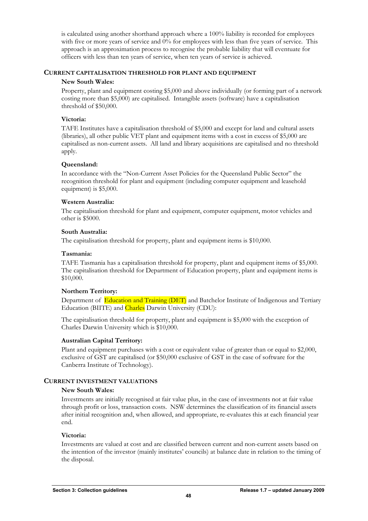is calculated using another shorthand approach where a 100% liability is recorded for employees with five or more years of service and 0% for employees with less than five years of service. This approach is an approximation process to recognise the probable liability that will eventuate for officers with less than ten years of service, when ten years of service is achieved.

# **CURRENT CAPITALISATION THRESHOLD FOR PLANT AND EQUIPMENT**

# **New South Wales:**

Property, plant and equipment costing \$5,000 and above individually (or forming part of a network costing more than \$5,000) are capitalised. Intangible assets (software) have a capitalisation threshold of \$50,000.

# **Victoria:**

TAFE Institutes have a capitalisation threshold of \$5,000 and except for land and cultural assets (libraries), all other public VET plant and equipment items with a cost in excess of \$5,000 are capitalised as non-current assets. All land and library acquisitions are capitalised and no threshold apply.

# **Queensland:**

In accordance with the "Non-Current Asset Policies for the Queensland Public Sector" the recognition threshold for plant and equipment (including computer equipment and leasehold equipment) is \$5,000.

# **Western Australia:**

The capitalisation threshold for plant and equipment, computer equipment, motor vehicles and other is \$5000.

# **South Australia:**

The capitalisation threshold for property, plant and equipment items is \$10,000.

# **Tasmania:**

TAFE Tasmania has a capitalisation threshold for property, plant and equipment items of \$5,000. The capitalisation threshold for Department of Education property, plant and equipment items is \$10,000.

# **Northern Territory:**

Department of Education and Training (DET) and Batchelor Institute of Indigenous and Tertiary Education (BIITE) and Charles Darwin University (CDU):

The capitalisation threshold for property, plant and equipment is \$5,000 with the exception of Charles Darwin University which is \$10,000.

# **Australian Capital Territory:**

Plant and equipment purchases with a cost or equivalent value of greater than or equal to \$2,000, exclusive of GST are capitalised (or \$50,000 exclusive of GST in the case of software for the Canberra Institute of Technology).

# **CURRENT INVESTMENT VALUATIONS**

# **New South Wales:**

Investments are initially recognised at fair value plus, in the case of investments not at fair value through profit or loss, transaction costs. NSW determines the classification of its financial assets after initial recognition and, when allowed, and appropriate, re-evaluates this at each financial year end.

# **Victoria:**

Investments are valued at cost and are classified between current and non-current assets based on the intention of the investor (mainly institutes' councils) at balance date in relation to the timing of the disposal.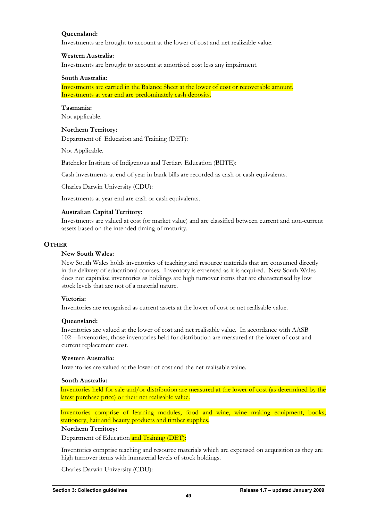# **Queensland:**

Investments are brought to account at the lower of cost and net realizable value.

# **Western Australia:**

Investments are brought to account at amortised cost less any impairment.

#### **South Australia:**

Investments are carried in the Balance Sheet at the lower of cost or recoverable amount. Investments at year end are predominately cash deposits.

# **Tasmania:**

Not applicable.

# **Northern Territory:**

Department of Education and Training (DET):

Not Applicable.

Batchelor Institute of Indigenous and Tertiary Education (BIITE):

Cash investments at end of year in bank bills are recorded as cash or cash equivalents.

Charles Darwin University (CDU):

Investments at year end are cash or cash equivalents.

# **Australian Capital Territory:**

Investments are valued at cost (or market value) and are classified between current and non-current assets based on the intended timing of maturity.

# **OTHER**

## **New South Wales:**

New South Wales holds inventories of teaching and resource materials that are consumed directly in the delivery of educational courses. Inventory is expensed as it is acquired. New South Wales does not capitalise inventories as holdings are high turnover items that are characterised by low stock levels that are not of a material nature.

# **Victoria:**

Inventories are recognised as current assets at the lower of cost or net realisable value.

# **Queensland:**

Inventories are valued at the lower of cost and net realisable value. In accordance with AASB 102—Inventories, those inventories held for distribution are measured at the lower of cost and current replacement cost.

# **Western Australia:**

Inventories are valued at the lower of cost and the net realisable value.

#### **South Australia:**

Inventories held for sale and/or distribution are measured at the lower of cost (as determined by the latest purchase price) or their net realisable value.

Inventories comprise of learning modules, food and wine, wine making equipment, books, stationery, hair and beauty products and timber supplies.

#### **Northern Territory:**

Department of Education and Training (DET):

Inventories comprise teaching and resource materials which are expensed on acquisition as they are high turnover items with immaterial levels of stock holdings.

Charles Darwin University (CDU):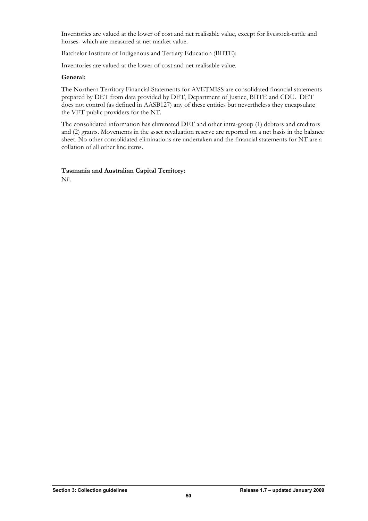Inventories are valued at the lower of cost and net realisable value, except for livestock-cattle and horses- which are measured at net market value.

Batchelor Institute of Indigenous and Tertiary Education (BIITE):

Inventories are valued at the lower of cost and net realisable value.

# **General:**

The Northern Territory Financial Statements for AVETMISS are consolidated financial statements prepared by DET from data provided by DET, Department of Justice, BIITE and CDU. DET does not control (as defined in AASB127) any of these entities but nevertheless they encapsulate the VET public providers for the NT.

The consolidated information has eliminated DET and other intra-group (1) debtors and creditors and (2) grants. Movements in the asset revaluation reserve are reported on a net basis in the balance sheet. No other consolidated eliminations are undertaken and the financial statements for NT are a collation of all other line items.

# **Tasmania and Australian Capital Territory:**

Nil.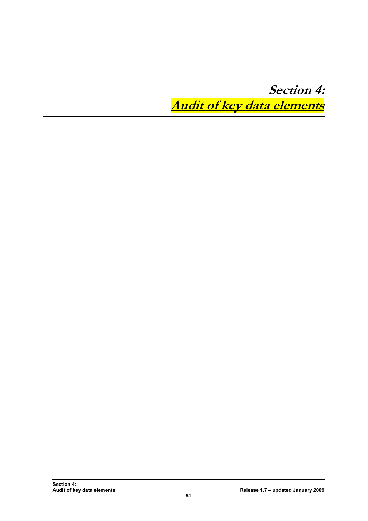<span id="page-52-0"></span>**Section 4: Audit of key data elements**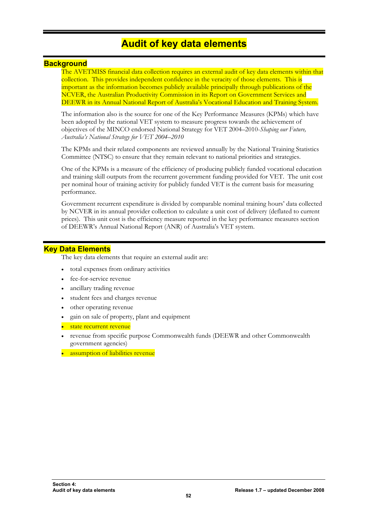# **Audit of key data elements**

# <span id="page-53-0"></span>**Background**

The AVETMISS financial data collection requires an external audit of key data elements within that collection. This provides independent confidence in the veracity of those elements. This is important as the information becomes publicly available principally through publications of the NCVER, the Australian Productivity Commission in its Report on Government Services and DEEWR in its Annual National Report of Australia's Vocational Education and Training System.

The information also is the source for one of the Key Performance Measures (KPMs) which have been adopted by the national VET system to measure progress towards the achievement of objectives of the MINCO endorsed National Strategy for VET 2004–2010-*Shaping our Future, Australia's National Strategy for VET 2004–2010*

The KPMs and their related components are reviewed annually by the National Training Statistics Committee (NTSC) to ensure that they remain relevant to national priorities and strategies.

One of the KPMs is a measure of the efficiency of producing publicly funded vocational education and training skill outputs from the recurrent government funding provided for VET. The unit cost per nominal hour of training activity for publicly funded VET is the current basis for measuring performance.

Government recurrent expenditure is divided by comparable nominal training hours' data collected by NCVER in its annual provider collection to calculate a unit cost of delivery (deflated to current prices). This unit cost is the efficiency measure reported in the key performance measures section of DEEWR's Annual National Report (ANR) of Australia's VET system.

# **Key Data Elements**

The key data elements that require an external audit are:

- total expenses from ordinary activities
- fee-for-service revenue
- ancillary trading revenue
- student fees and charges revenue
- other operating revenue
- gain on sale of property, plant and equipment
- state recurrent revenue
- revenue from specific purpose Commonwealth funds (DEEWR and other Commonwealth government agencies)
- assumption of liabilities revenue